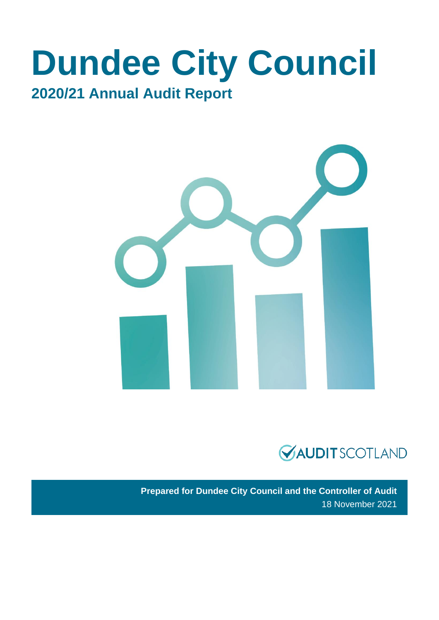## **Dundee City Council 2020/21 Annual Audit Report**





**Prepared for Dundee City Council and the Controller of Audit** 18 November 2021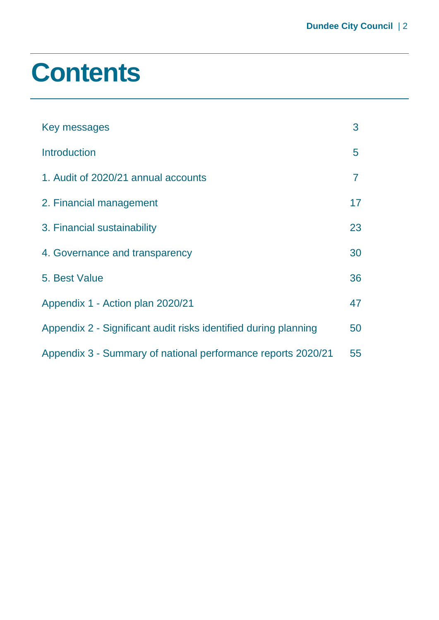## **Contents**

| Key messages                                                    | 3  |
|-----------------------------------------------------------------|----|
| <b>Introduction</b>                                             | 5  |
| 1. Audit of 2020/21 annual accounts                             | 7  |
| 2. Financial management                                         | 17 |
| 3. Financial sustainability                                     | 23 |
| 4. Governance and transparency                                  | 30 |
| 5. Best Value                                                   | 36 |
| Appendix 1 - Action plan 2020/21                                | 47 |
| Appendix 2 - Significant audit risks identified during planning | 50 |
| Appendix 3 - Summary of national performance reports 2020/21    | 55 |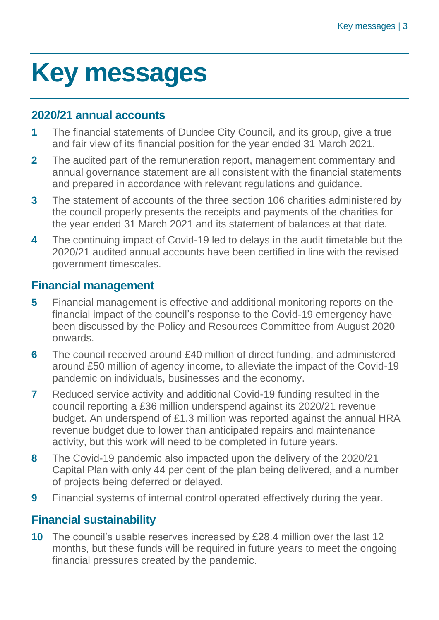# <span id="page-2-0"></span>**Key messages**

#### **2020/21 annual accounts**

- **1** The financial statements of Dundee City Council, and its group, give a true and fair view of its financial position for the year ended 31 March 2021.
- **2** The audited part of the remuneration report, management commentary and annual governance statement are all consistent with the financial statements and prepared in accordance with relevant regulations and guidance.
- **3** The statement of accounts of the three section 106 charities administered by the council properly presents the receipts and payments of the charities for the year ended 31 March 2021 and its statement of balances at that date.
- **4** The continuing impact of Covid-19 led to delays in the audit timetable but the 2020/21 audited annual accounts have been certified in line with the revised government timescales.

#### **Financial management**

- **5** Financial management is effective and additional monitoring reports on the financial impact of the council's response to the Covid-19 emergency have been discussed by the Policy and Resources Committee from August 2020 onwards.
- **6** The council received around £40 million of direct funding, and administered around £50 million of agency income, to alleviate the impact of the Covid-19 pandemic on individuals, businesses and the economy.
- **7** Reduced service activity and additional Covid-19 funding resulted in the council reporting a £36 million underspend against its 2020/21 revenue budget. An underspend of £1.3 million was reported against the annual HRA revenue budget due to lower than anticipated repairs and maintenance activity, but this work will need to be completed in future years.
- **8** The Covid-19 pandemic also impacted upon the delivery of the 2020/21 Capital Plan with only 44 per cent of the plan being delivered, and a number of projects being deferred or delayed.
- **9** Financial systems of internal control operated effectively during the year.

#### **Financial sustainability**

**10** The council's usable reserves increased by £28.4 million over the last 12 months, but these funds will be required in future years to meet the ongoing financial pressures created by the pandemic.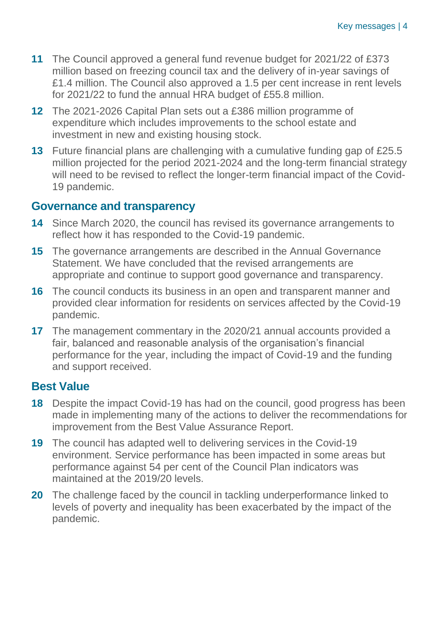- **11** The Council approved a general fund revenue budget for 2021/22 of £373 million based on freezing council tax and the delivery of in-year savings of £1.4 million. The Council also approved a 1.5 per cent increase in rent levels for 2021/22 to fund the annual HRA budget of £55.8 million.
- **12** The 2021-2026 Capital Plan sets out a £386 million programme of expenditure which includes improvements to the school estate and investment in new and existing housing stock.
- **13** Future financial plans are challenging with a cumulative funding gap of £25.5 million projected for the period 2021-2024 and the long-term financial strategy will need to be revised to reflect the longer-term financial impact of the Covid-19 pandemic.

#### **Governance and transparency**

- **14** Since March 2020, the council has revised its governance arrangements to reflect how it has responded to the Covid-19 pandemic.
- **15** The governance arrangements are described in the Annual Governance Statement. We have concluded that the revised arrangements are appropriate and continue to support good governance and transparency.
- **16** The council conducts its business in an open and transparent manner and provided clear information for residents on services affected by the Covid-19 pandemic.
- **17** The management commentary in the 2020/21 annual accounts provided a fair, balanced and reasonable analysis of the organisation's financial performance for the year, including the impact of Covid-19 and the funding and support received.

#### **Best Value**

- **18** Despite the impact Covid-19 has had on the council, good progress has been made in implementing many of the actions to deliver the recommendations for improvement from the Best Value Assurance Report.
- **19** The council has adapted well to delivering services in the Covid-19 environment. Service performance has been impacted in some areas but performance against 54 per cent of the Council Plan indicators was maintained at the 2019/20 levels.
- **20** The challenge faced by the council in tackling underperformance linked to levels of poverty and inequality has been exacerbated by the impact of the pandemic.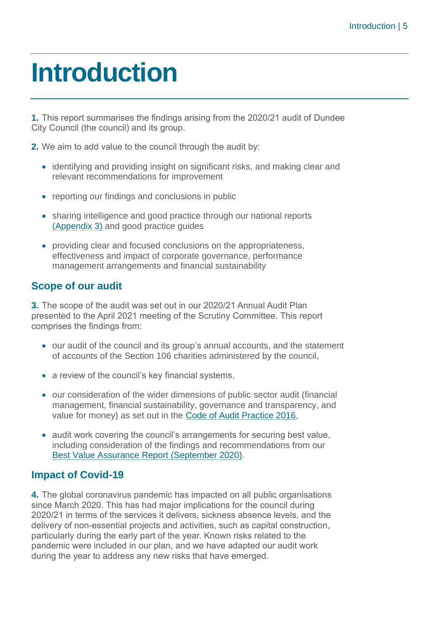## <span id="page-4-0"></span>**Introduction**

**1.** This report summarises the findings arising from the 2020/21 audit of Dundee City Council (the council) and its group.

**2.** We aim to add value to the council through the audit by:

- identifying and providing insight on significant risks, and making clear and relevant recommendations for improvement
- reporting our findings and conclusions in public
- sharing intelligence and good practice through our national reports [\(Appendix 3\)](#page-54-0) and good practice guides
- providing clear and focused conclusions on the appropriateness, effectiveness and impact of corporate governance, performance management arrangements and financial sustainability

#### **Scope of our audit**

**3.** The scope of the audit was set out in our 2020/21 Annual Audit Plan presented to the April 2021 meeting of the Scrutiny Committee. This report comprises the findings from:

- our audit of the council and its group's annual accounts, and the statement of accounts of the Section 106 charities administered by the council,
- a review of the council's key financial systems,
- our consideration of the wider dimensions of public sector audit (financial management, financial sustainability, governance and transparency, and value for money) as set out in the [Code of Audit Practice 2016,](http://www.audit-scotland.gov.uk/report/code-of-audit-practice-2016)
- audit work covering the council's arrangements for securing best value, including consideration of the findings and recommendations from our [Best Value Assurance Report \(September 2020\).](https://www.audit-scotland.gov.uk/uploads/docs/report/2020/bv_200929_dundee.pdf)

#### **Impact of Covid-19**

**4.** The global coronavirus pandemic has impacted on all public organisations since March 2020. This has had major implications for the council during 2020/21 in terms of the services it delivers, sickness absence levels, and the delivery of non-essential projects and activities, such as capital construction, particularly during the early part of the year. Known risks related to the pandemic were included in our plan, and we have adapted our audit work during the year to address any new risks that have emerged.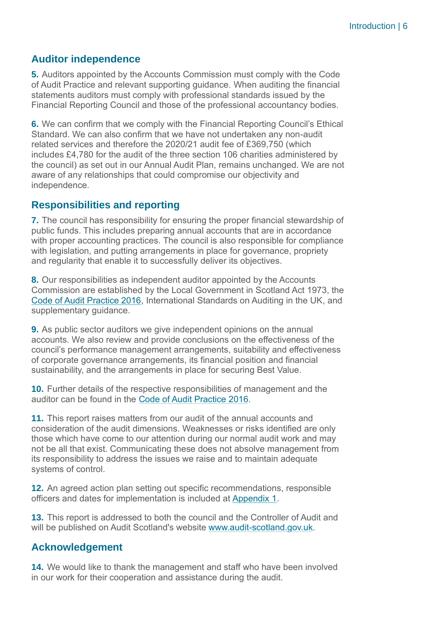#### **Auditor independence**

**5.** Auditors appointed by the Accounts Commission must comply with the Code of Audit Practice and relevant supporting guidance. When auditing the financial statements auditors must comply with professional standards issued by the Financial Reporting Council and those of the professional accountancy bodies.

**6.** We can confirm that we comply with the Financial Reporting Council's Ethical Standard. We can also confirm that we have not undertaken any non-audit related services and therefore the 2020/21 audit fee of £369,750 (which includes £4,780 for the audit of the three section 106 charities administered by the council) as set out in our Annual Audit Plan, remains unchanged. We are not aware of any relationships that could compromise our objectivity and independence.

#### **Responsibilities and reporting**

**7.** The council has responsibility for ensuring the proper financial stewardship of public funds. This includes preparing annual accounts that are in accordance with proper accounting practices. The council is also responsible for compliance with legislation, and putting arrangements in place for governance, propriety and regularity that enable it to successfully deliver its objectives.

**8.** Our responsibilities as independent auditor appointed by the Accounts Commission are established by the Local Government in Scotland Act 1973, the [Code of Audit Practice 2016,](http://www.audit-scotland.gov.uk/report/code-of-audit-practice-2016) International Standards on Auditing in the UK, and supplementary guidance.

**9.** As public sector auditors we give independent opinions on the annual accounts. We also review and provide conclusions on the effectiveness of the council's performance management arrangements, suitability and effectiveness of corporate governance arrangements, its financial position and financial sustainability, and the arrangements in place for securing Best Value.

**10.** Further details of the respective responsibilities of management and the auditor can be found in the [Code of Audit Practice 2016.](http://www.audit-scotland.gov.uk/report/code-of-audit-practice-2016)

**11.** This report raises matters from our audit of the annual accounts and consideration of the audit dimensions. Weaknesses or risks identified are only those which have come to our attention during our normal audit work and may not be all that exist. Communicating these does not absolve management from its responsibility to address the issues we raise and to maintain adequate systems of control.

**12.** An agreed action plan setting out specific recommendations, responsible officers and dates for implementation is included at [Appendix 1.](#page-46-0)

**13.** This report is addressed to both the council and the Controller of Audit and will be published on Audit Scotland's website [www.audit-scotland.gov.uk.](http://www.audit-scotland.gov.uk/)

#### **Acknowledgement**

**14.** We would like to thank the management and staff who have been involved in our work for their cooperation and assistance during the audit.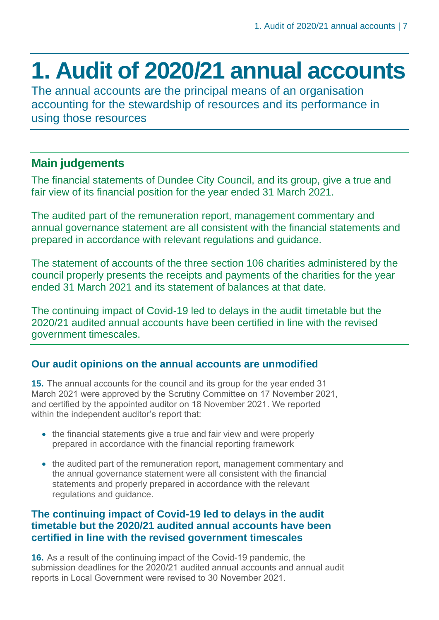### <span id="page-6-0"></span>**1. Audit of 2020/21 annual accounts**

The annual accounts are the principal means of an organisation accounting for the stewardship of resources and its performance in using those resources

### **Main judgements**

The financial statements of Dundee City Council, and its group, give a true and fair view of its financial position for the year ended 31 March 2021.

The audited part of the remuneration report, management commentary and annual governance statement are all consistent with the financial statements and prepared in accordance with relevant regulations and guidance.

The statement of accounts of the three section 106 charities administered by the council properly presents the receipts and payments of the charities for the year ended 31 March 2021 and its statement of balances at that date.

The continuing impact of Covid-19 led to delays in the audit timetable but the 2020/21 audited annual accounts have been certified in line with the revised government timescales.

#### **Our audit opinions on the annual accounts are unmodified**

**15.** The annual accounts for the council and its group for the year ended 31 March 2021 were approved by the Scrutiny Committee on 17 November 2021, and certified by the appointed auditor on 18 November 2021. We reported within the independent auditor's report that:

- the financial statements give a true and fair view and were properly prepared in accordance with the financial reporting framework
- the audited part of the remuneration report, management commentary and the annual governance statement were all consistent with the financial statements and properly prepared in accordance with the relevant regulations and guidance.

#### **The continuing impact of Covid-19 led to delays in the audit timetable but the 2020/21 audited annual accounts have been certified in line with the revised government timescales**

**16.** As a result of the continuing impact of the Covid-19 pandemic, the submission deadlines for the 2020/21 audited annual accounts and annual audit reports in Local Government were revised to 30 November 2021.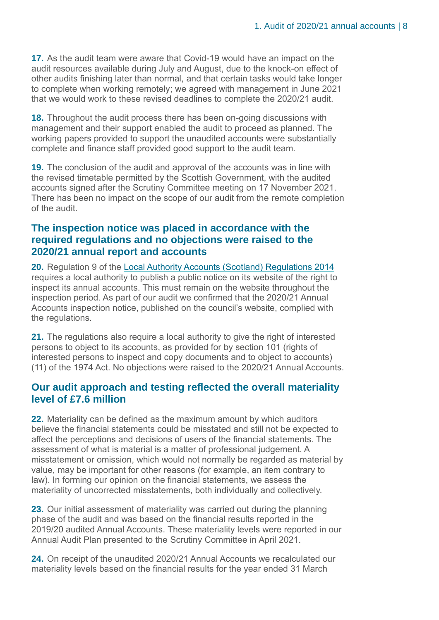**17.** As the audit team were aware that Covid-19 would have an impact on the audit resources available during July and August, due to the knock-on effect of other audits finishing later than normal, and that certain tasks would take longer to complete when working remotely; we agreed with management in June 2021 that we would work to these revised deadlines to complete the 2020/21 audit.

**18.** Throughout the audit process there has been on-going discussions with management and their support enabled the audit to proceed as planned. The working papers provided to support the unaudited accounts were substantially complete and finance staff provided good support to the audit team.

**19.** The conclusion of the audit and approval of the accounts was in line with the revised timetable permitted by the Scottish Government, with the audited accounts signed after the Scrutiny Committee meeting on 17 November 2021. There has been no impact on the scope of our audit from the remote completion of the audit.

#### **The inspection notice was placed in accordance with the required regulations and no objections were raised to the 2020/21 annual report and accounts**

**20.** Regulation 9 of the [Local Authority Accounts \(Scotland\) Regulations 2014](https://www.legislation.gov.uk/ssi/2014/200/pdfs/ssi_20140200_en.pdf) requires a local authority to publish a public notice on its website of the right to inspect its annual accounts. This must remain on the website throughout the inspection period. As part of our audit we confirmed that the 2020/21 Annual Accounts inspection notice, published on the council's website, complied with the regulations.

**21.** The regulations also require a local authority to give the right of interested persons to object to its accounts, as provided for by section 101 (rights of interested persons to inspect and copy documents and to object to accounts) (11) of the 1974 Act. No objections were raised to the 2020/21 Annual Accounts.

#### **Our audit approach and testing reflected the overall materiality level of £7.6 million**

**22.** Materiality can be defined as the maximum amount by which auditors believe the financial statements could be misstated and still not be expected to affect the perceptions and decisions of users of the financial statements. The assessment of what is material is a matter of professional judgement. A misstatement or omission, which would not normally be regarded as material by value, may be important for other reasons (for example, an item contrary to law). In forming our opinion on the financial statements, we assess the materiality of uncorrected misstatements, both individually and collectively.

**23.** Our initial assessment of materiality was carried out during the planning phase of the audit and was based on the financial results reported in the 2019/20 audited Annual Accounts. These materiality levels were reported in our Annual Audit Plan presented to the Scrutiny Committee in April 2021.

**24.** On receipt of the unaudited 2020/21 Annual Accounts we recalculated our materiality levels based on the financial results for the year ended 31 March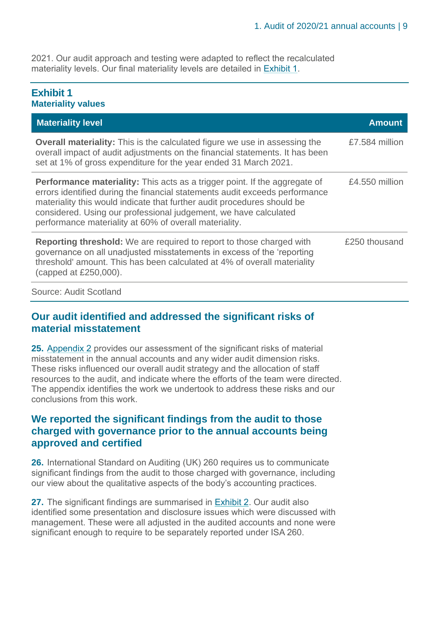2021. Our audit approach and testing were adapted to reflect the recalculated materiality levels. Our final materiality levels are detailed in [Exhibit 1.](#page-8-0)

#### <span id="page-8-0"></span>**Exhibit 1 Materiality values**

| <b>Materiality level</b>                                                                                                                                                                                                                                                                                                                                                  | <b>Amount</b>  |
|---------------------------------------------------------------------------------------------------------------------------------------------------------------------------------------------------------------------------------------------------------------------------------------------------------------------------------------------------------------------------|----------------|
| <b>Overall materiality:</b> This is the calculated figure we use in assessing the<br>overall impact of audit adjustments on the financial statements. It has been<br>set at 1% of gross expenditure for the year ended 31 March 2021.                                                                                                                                     | £7.584 million |
| <b>Performance materiality:</b> This acts as a trigger point. If the aggregate of<br>errors identified during the financial statements audit exceeds performance<br>materiality this would indicate that further audit procedures should be<br>considered. Using our professional judgement, we have calculated<br>performance materiality at 60% of overall materiality. | £4.550 million |
| <b>Reporting threshold:</b> We are required to report to those charged with<br>governance on all unadjusted misstatements in excess of the 'reporting<br>threshold' amount. This has been calculated at 4% of overall materiality<br>(capped at £250,000).                                                                                                                | £250 thousand  |
| <b>Source: Audit Scotland</b>                                                                                                                                                                                                                                                                                                                                             |                |

#### **Our audit identified and addressed the significant risks of material misstatement**

**25.** Appendix 2 [provides our assessment of the significant risks of material](#page-49-0)  [misstatement in the annual accounts and any wider audit dimension risks.](#page-49-0)  [These risks influenced our overall audit strategy and the allocation of staff](#page-49-0)  [resources to the audit, and indicate where the efforts of the team were directed.](#page-49-0)  [The appendix identifies the work we undertook to address these risks and our](#page-49-0)  [conclusions from this work.](#page-49-0)

#### **We reported the significant findings from the audit to those charged with governance prior to the annual accounts being approved and certified**

**26.** International Standard on Auditing (UK) 260 requires us to communicate significant findings from the audit to those charged with governance, including our view about the qualitative aspects of the body's accounting practices.

**27.** The significant findings are summarised in [Exhibit 2.](#page-9-0) Our audit also identified some presentation and disclosure issues which were discussed with management. These were all adjusted in the audited accounts and none were significant enough to require to be separately reported under ISA 260.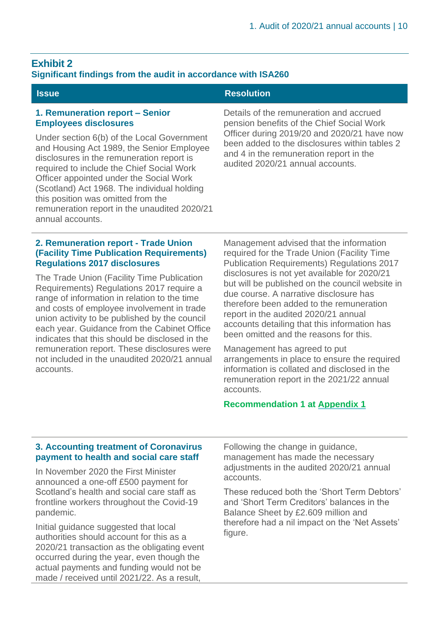### <span id="page-9-0"></span>**Exhibit 2**

#### **Significant findings from the audit in accordance with ISA260**

#### **1. Remuneration report – Senior Employees disclosures**

Under section 6(b) of the Local Government and Housing Act 1989, the Senior Employee disclosures in the remuneration report is required to include the Chief Social Work Officer appointed under the Social Work (Scotland) Act 1968. The individual holding this position was omitted from the remuneration report in the unaudited 2020/21 annual accounts.

#### **2. Remuneration report - Trade Union (Facility Time Publication Requirements) Regulations 2017 disclosures**

The Trade Union (Facility Time Publication Requirements) Regulations 2017 require a range of information in relation to the time and costs of employee involvement in trade union activity to be published by the council each year. Guidance from the Cabinet Office indicates that this should be disclosed in the remuneration report. These disclosures were not included in the unaudited 2020/21 annual accounts.

#### **Issue Resolution**

Details of the remuneration and accrued pension benefits of the Chief Social Work Officer during 2019/20 and 2020/21 have now been added to the disclosures within tables 2 and 4 in the remuneration report in the audited 2020/21 annual accounts.

Management advised that the information required for the Trade Union (Facility Time Publication Requirements) Regulations 2017 disclosures is not yet available for 2020/21 but will be published on the council website in due course. A narrative disclosure has therefore been added to the remuneration report in the audited 2020/21 annual accounts detailing that this information has been omitted and the reasons for this.

Management has agreed to put arrangements in place to ensure the required information is collated and disclosed in the remuneration report in the 2021/22 annual accounts.

#### **Recommendation 1 at [Appendix 1](#page-46-0)**

#### **3. Accounting treatment of Coronavirus payment to health and social care staff**

In November 2020 the First Minister announced a one-off £500 payment for Scotland's health and social care staff as frontline workers throughout the Covid-19 pandemic.

Initial guidance suggested that local authorities should account for this as a 2020/21 transaction as the obligating event occurred during the year, even though the actual payments and funding would not be made / received until 2021/22. As a result,

Following the change in guidance, management has made the necessary adjustments in the audited 2020/21 annual accounts.

These reduced both the 'Short Term Debtors' and 'Short Term Creditors' balances in the Balance Sheet by £2.609 million and therefore had a nil impact on the 'Net Assets' figure.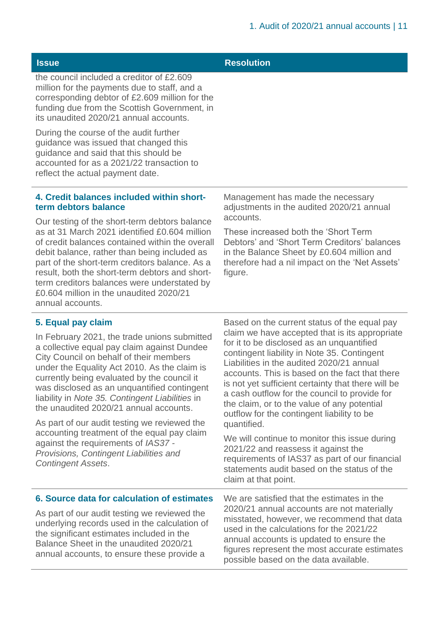| <b>Issue</b>                                                                                                                                                                                                                                                                                                                                                                                                                      | <b>Resolution</b>                                                                                                                                                                                                                                                                                                                                                                                                                                            |  |  |
|-----------------------------------------------------------------------------------------------------------------------------------------------------------------------------------------------------------------------------------------------------------------------------------------------------------------------------------------------------------------------------------------------------------------------------------|--------------------------------------------------------------------------------------------------------------------------------------------------------------------------------------------------------------------------------------------------------------------------------------------------------------------------------------------------------------------------------------------------------------------------------------------------------------|--|--|
| the council included a creditor of £2.609<br>million for the payments due to staff, and a<br>corresponding debtor of £2.609 million for the<br>funding due from the Scottish Government, in<br>its unaudited 2020/21 annual accounts.                                                                                                                                                                                             |                                                                                                                                                                                                                                                                                                                                                                                                                                                              |  |  |
| During the course of the audit further<br>guidance was issued that changed this<br>guidance and said that this should be<br>accounted for as a 2021/22 transaction to<br>reflect the actual payment date.                                                                                                                                                                                                                         |                                                                                                                                                                                                                                                                                                                                                                                                                                                              |  |  |
| 4. Credit balances included within short-<br>term debtors balance                                                                                                                                                                                                                                                                                                                                                                 | Management has made the necessary<br>adjustments in the audited 2020/21 annual                                                                                                                                                                                                                                                                                                                                                                               |  |  |
| Our testing of the short-term debtors balance<br>as at 31 March 2021 identified £0,604 million<br>of credit balances contained within the overall<br>debit balance, rather than being included as<br>part of the short-term creditors balance. As a<br>result, both the short-term debtors and short-<br>term creditors balances were understated by<br>£0.604 million in the unaudited 2020/21<br>annual accounts.               | accounts.<br>These increased both the 'Short Term<br>Debtors' and 'Short Term Creditors' balances<br>in the Balance Sheet by £0.604 million and<br>therefore had a nil impact on the 'Net Assets'<br>figure.                                                                                                                                                                                                                                                 |  |  |
| 5. Equal pay claim                                                                                                                                                                                                                                                                                                                                                                                                                | Based on the current status of the equal pay                                                                                                                                                                                                                                                                                                                                                                                                                 |  |  |
| In February 2021, the trade unions submitted<br>a collective equal pay claim against Dundee<br>City Council on behalf of their members<br>under the Equality Act 2010. As the claim is<br>currently being evaluated by the council it<br>was disclosed as an unquantified contingent<br>liability in Note 35. Contingent Liabilities in<br>the unaudited 2020/21 annual accounts.<br>As part of our audit testing we reviewed the | claim we have accepted that is its appropriate<br>for it to be disclosed as an unquantified<br>contingent liability in Note 35. Contingent<br>Liabilities in the audited 2020/21 annual<br>accounts. This is based on the fact that there<br>is not yet sufficient certainty that there will be<br>a cash outflow for the council to provide for<br>the claim, or to the value of any potential<br>outflow for the contingent liability to be<br>quantified. |  |  |
| accounting treatment of the equal pay claim<br>against the requirements of IAS37 -<br>Provisions, Contingent Liabilities and<br><b>Contingent Assets.</b>                                                                                                                                                                                                                                                                         | We will continue to monitor this issue during<br>2021/22 and reassess it against the<br>requirements of IAS37 as part of our financial<br>statements audit based on the status of the<br>claim at that point.                                                                                                                                                                                                                                                |  |  |
| 6. Source data for calculation of estimates                                                                                                                                                                                                                                                                                                                                                                                       | We are satisfied that the estimates in the                                                                                                                                                                                                                                                                                                                                                                                                                   |  |  |
| As part of our audit testing we reviewed the<br>underlying records used in the calculation of<br>the significant estimates included in the<br>Balance Sheet in the unaudited 2020/21<br>annual accounts, to ensure these provide a                                                                                                                                                                                                | 2020/21 annual accounts are not materially<br>misstated, however, we recommend that data<br>used in the calculations for the 2021/22<br>annual accounts is updated to ensure the<br>figures represent the most accurate estimates<br>possible based on the data available.                                                                                                                                                                                   |  |  |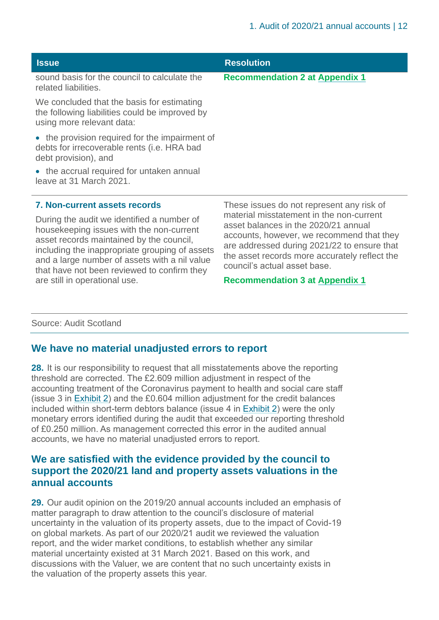| <b>Issue</b>                                                                                                              | <b>Resolution</b>                         |
|---------------------------------------------------------------------------------------------------------------------------|-------------------------------------------|
| sound basis for the council to calculate the<br>related liabilities.                                                      | <b>Recommendation 2 at Appendix 1</b>     |
| We concluded that the basis for estimating<br>the following liabilities could be improved by<br>using more relevant data: |                                           |
| • the provision required for the impairment of<br>debts for irrecoverable rents (i.e. HRA bad<br>debt provision), and     |                                           |
| • the accrual required for untaken annual<br>leave at 31 March 2021.                                                      |                                           |
| <b>7. Non-current assets records</b>                                                                                      | These issues do not represent any risk of |

During the audit we identified a number of housekeeping issues with the non-current asset records maintained by the council, including the inappropriate grouping of assets and a large number of assets with a nil value that have not been reviewed to confirm they are still in operational use.

material misstatement in the non-current asset balances in the 2020/21 annual accounts, however, we recommend that they are addressed during 2021/22 to ensure that the asset records more accurately reflect the council's actual asset base.

#### **Recommendation 3 at [Appendix 1](#page-46-0)**

#### Source: Audit Scotland

#### **We have no material unadjusted errors to report**

**28.** It is our responsibility to request that all misstatements above the reporting threshold are corrected. The £2.609 million adjustment in respect of the accounting treatment of the Coronavirus payment to health and social care staff (issue 3 in [Exhibit](#page-9-0) 2) and the £0.604 million adjustment for the credit balances included within short-term debtors balance (issue 4 in [Exhibit](#page-9-0) 2) were the only monetary errors identified during the audit that exceeded our reporting threshold of £0.250 million. As management corrected this error in the audited annual accounts, we have no material unadjusted errors to report.

#### **We are satisfied with the evidence provided by the council to support the 2020/21 land and property assets valuations in the annual accounts**

**29.** Our audit opinion on the 2019/20 annual accounts included an emphasis of matter paragraph to draw attention to the council's disclosure of material uncertainty in the valuation of its property assets, due to the impact of Covid-19 on global markets. As part of our 2020/21 audit we reviewed the valuation report, and the wider market conditions, to establish whether any similar material uncertainty existed at 31 March 2021. Based on this work, and discussions with the Valuer, we are content that no such uncertainty exists in the valuation of the property assets this year.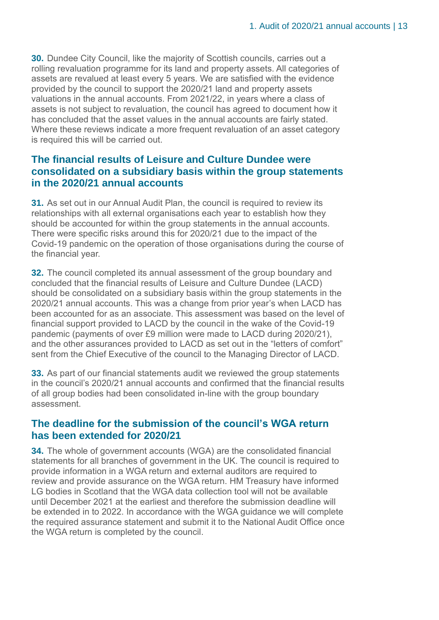**30.** Dundee City Council, like the majority of Scottish councils, carries out a rolling revaluation programme for its land and property assets. All categories of assets are revalued at least every 5 years. We are satisfied with the evidence provided by the council to support the 2020/21 land and property assets valuations in the annual accounts. From 2021/22, in years where a class of assets is not subject to revaluation, the council has agreed to document how it has concluded that the asset values in the annual accounts are fairly stated. Where these reviews indicate a more frequent revaluation of an asset category is required this will be carried out.

#### **The financial results of Leisure and Culture Dundee were consolidated on a subsidiary basis within the group statements in the 2020/21 annual accounts**

<span id="page-12-0"></span>**31.** As set out in our Annual Audit Plan, the council is required to review its relationships with all external organisations each year to establish how they should be accounted for within the group statements in the annual accounts. There were specific risks around this for 2020/21 due to the impact of the Covid-19 pandemic on the operation of those organisations during the course of the financial year.

**32.** The council completed its annual assessment of the group boundary and concluded that the financial results of Leisure and Culture Dundee (LACD) should be consolidated on a subsidiary basis within the group statements in the 2020/21 annual accounts. This was a change from prior year's when LACD has been accounted for as an associate. This assessment was based on the level of financial support provided to LACD by the council in the wake of the Covid-19 pandemic (payments of over £9 million were made to LACD during 2020/21), and the other assurances provided to LACD as set out in the "letters of comfort" sent from the Chief Executive of the council to the Managing Director of LACD.

<span id="page-12-1"></span>**33.** As part of our financial statements audit we reviewed the group statements in the council's 2020/21 annual accounts and confirmed that the financial results of all group bodies had been consolidated in-line with the group boundary assessment.

#### **The deadline for the submission of the council's WGA return has been extended for 2020/21**

**34.** The whole of government accounts (WGA) are the consolidated financial statements for all branches of government in the UK. The council is required to provide information in a WGA return and external auditors are required to review and provide assurance on the WGA return. HM Treasury have informed LG bodies in Scotland that the WGA data collection tool will not be available until December 2021 at the earliest and therefore the submission deadline will be extended in to 2022. In accordance with the WGA guidance we will complete the required assurance statement and submit it to the National Audit Office once the WGA return is completed by the council.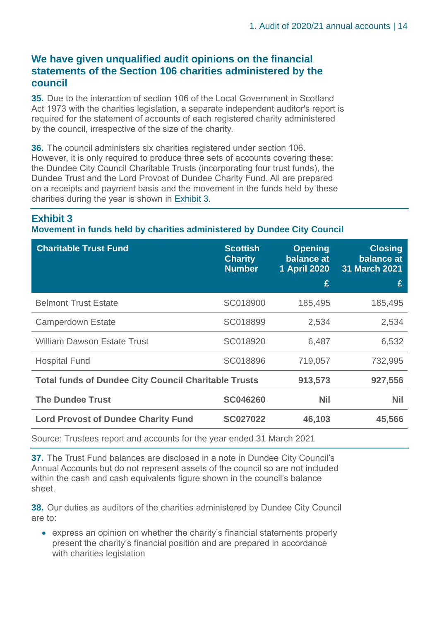#### **We have given unqualified audit opinions on the financial statements of the Section 106 charities administered by the council**

**35.** Due to the interaction of section 106 of the Local Government in Scotland Act 1973 with the charities legislation, a separate independent auditor's report is required for the statement of accounts of each registered charity administered by the council, irrespective of the size of the charity.

**36.** The council administers six charities registered under section 106. However, it is only required to produce three sets of accounts covering these: the Dundee City Council Charitable Trusts (incorporating four trust funds), the Dundee Trust and the Lord Provost of Dundee Charity Fund. All are prepared on a receipts and payment basis and the movement in the funds held by these charities during the year is shown in [Exhibit 3.](#page-13-0)

#### <span id="page-13-0"></span>**Exhibit 3**

sheet.

#### **Movement in funds held by charities administered by Dundee City Council**

| <b>Charitable Trust Fund</b>                                          | <b>Scottish</b><br><b>Charity</b><br><b>Number</b> | <b>Opening</b><br>balance at<br><b>1 April 2020</b><br>£ | <b>Closing</b><br>balance at<br>31 March 2021<br>£ |
|-----------------------------------------------------------------------|----------------------------------------------------|----------------------------------------------------------|----------------------------------------------------|
| <b>Belmont Trust Estate</b>                                           | SC018900                                           | 185,495                                                  | 185,495                                            |
| <b>Camperdown Estate</b>                                              | SC018899                                           | 2,534                                                    | 2,534                                              |
| <b>William Dawson Estate Trust</b>                                    | SC018920                                           | 6,487                                                    | 6,532                                              |
| <b>Hospital Fund</b>                                                  | SC018896                                           | 719,057                                                  | 732,995                                            |
| <b>Total funds of Dundee City Council Charitable Trusts</b>           |                                                    | 913,573                                                  | 927,556                                            |
| <b>The Dundee Trust</b>                                               | <b>SC046260</b>                                    | <b>Nil</b>                                               | <b>Nil</b>                                         |
| <b>Lord Provost of Dundee Charity Fund</b>                            | <b>SC027022</b>                                    | 46,103                                                   | 45,566                                             |
| Source: Trustees report and accounts for the year ended 31 March 2021 |                                                    |                                                          |                                                    |

**37.** The Trust Fund balances are disclosed in a note in Dundee City Council's Annual Accounts but do not represent assets of the council so are not included within the cash and cash equivalents figure shown in the council's balance

**38.** Our duties as auditors of the charities administered by Dundee City Council are to:

• express an opinion on whether the charity's financial statements properly present the charity's financial position and are prepared in accordance with charities legislation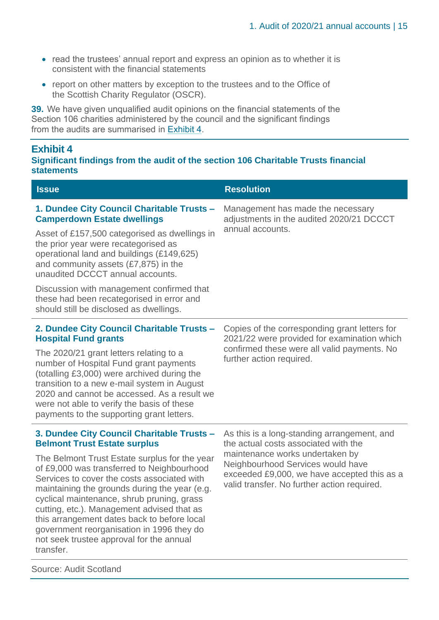- read the trustees' annual report and express an opinion as to whether it is consistent with the financial statements
- report on other matters by exception to the trustees and to the Office of the Scottish Charity Regulator (OSCR).

**39.** We have given unqualified audit opinions on the financial statements of the Section 106 charities administered by the council and the significant findings from the audits are summarised in [Exhibit 4.](#page-14-0)

#### <span id="page-14-0"></span>**Exhibit 4**

#### **Significant findings from the audit of the section 106 Charitable Trusts financial statements**

| <b>Issue</b>                                                                                                                                                                                                                                                                                                                                                                                                                                 | <b>Resolution</b>                                                                                                                                                  |  |  |
|----------------------------------------------------------------------------------------------------------------------------------------------------------------------------------------------------------------------------------------------------------------------------------------------------------------------------------------------------------------------------------------------------------------------------------------------|--------------------------------------------------------------------------------------------------------------------------------------------------------------------|--|--|
| 1. Dundee City Council Charitable Trusts -<br><b>Camperdown Estate dwellings</b>                                                                                                                                                                                                                                                                                                                                                             | Management has made the necessary<br>adjustments in the audited 2020/21 DCCCT                                                                                      |  |  |
| Asset of £157,500 categorised as dwellings in<br>the prior year were recategorised as<br>operational land and buildings (£149,625)<br>and community assets $(E7, 875)$ in the<br>unaudited DCCCT annual accounts.                                                                                                                                                                                                                            | annual accounts.                                                                                                                                                   |  |  |
| Discussion with management confirmed that<br>these had been recategorised in error and<br>should still be disclosed as dwellings.                                                                                                                                                                                                                                                                                                            |                                                                                                                                                                    |  |  |
| 2. Dundee City Council Charitable Trusts -<br><b>Hospital Fund grants</b>                                                                                                                                                                                                                                                                                                                                                                    | Copies of the corresponding grant letters for<br>2021/22 were provided for examination which                                                                       |  |  |
| The 2020/21 grant letters relating to a<br>number of Hospital Fund grant payments<br>(totalling £3,000) were archived during the<br>transition to a new e-mail system in August<br>2020 and cannot be accessed. As a result we<br>were not able to verify the basis of these<br>payments to the supporting grant letters.                                                                                                                    | confirmed these were all valid payments. No<br>further action required.                                                                                            |  |  |
| 3. Dundee City Council Charitable Trusts -<br><b>Belmont Trust Estate surplus</b>                                                                                                                                                                                                                                                                                                                                                            | As this is a long-standing arrangement, and<br>the actual costs associated with the                                                                                |  |  |
| The Belmont Trust Estate surplus for the year<br>of £9,000 was transferred to Neighbourhood<br>Services to cover the costs associated with<br>maintaining the grounds during the year (e.g.<br>cyclical maintenance, shrub pruning, grass<br>cutting, etc.). Management advised that as<br>this arrangement dates back to before local<br>government reorganisation in 1996 they do<br>not seek trustee approval for the annual<br>transfer. | maintenance works undertaken by<br>Neighbourhood Services would have<br>exceeded £9,000, we have accepted this as a<br>valid transfer. No further action required. |  |  |
| <b>Source: Audit Scotland</b>                                                                                                                                                                                                                                                                                                                                                                                                                |                                                                                                                                                                    |  |  |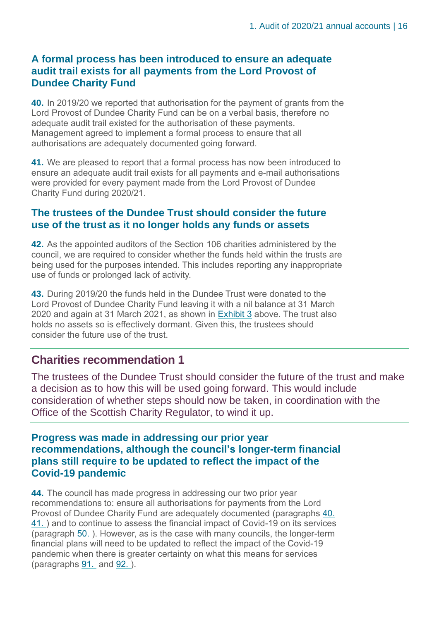#### **A formal process has been introduced to ensure an adequate audit trail exists for all payments from the Lord Provost of Dundee Charity Fund**

<span id="page-15-0"></span>**40.** In 2019/20 we reported that authorisation for the payment of grants from the Lord Provost of Dundee Charity Fund can be on a verbal basis, therefore no adequate audit trail existed for the authorisation of these payments. Management agreed to implement a formal process to ensure that all authorisations are adequately documented going forward.

<span id="page-15-1"></span>**41.** We are pleased to report that a formal process has now been introduced to ensure an adequate audit trail exists for all payments and e-mail authorisations were provided for every payment made from the Lord Provost of Dundee Charity Fund during 2020/21.

#### **The trustees of the Dundee Trust should consider the future use of the trust as it no longer holds any funds or assets**

<span id="page-15-2"></span>**42.** As the appointed auditors of the Section 106 charities administered by the council, we are required to consider whether the funds held within the trusts are being used for the purposes intended. This includes reporting any inappropriate use of funds or prolonged lack of activity.

<span id="page-15-3"></span>**43.** During 2019/20 the funds held in the Dundee Trust were donated to the Lord Provost of Dundee Charity Fund leaving it with a nil balance at 31 March 2020 and again at 31 March 2021, as shown in [Exhibit 3](#page-13-0) above. The trust also holds no assets so is effectively dormant. Given this, the trustees should consider the future use of the trust.

#### **Charities recommendation 1**

The trustees of the Dundee Trust should consider the future of the trust and make a decision as to how this will be used going forward. This would include consideration of whether steps should now be taken, in coordination with the Office of the Scottish Charity Regulator, to wind it up.

#### **Progress was made in addressing our prior year recommendations, although the council's longer-term financial plans still require to be updated to reflect the impact of the Covid-19 pandemic**

**44.** The council has made progress in addressing our two prior year recommendations to: ensure all authorisations for payments from the Lord Provost of Dundee Charity Fund are adequately documented (paragraphs [40.](#page-15-0) [41. \)](#page-15-1) and to continue to assess the financial impact of Covid-19 on its services (paragraph [50. \)](#page-17-0). However, as is the case with many councils, the longer-term financial plans will need to be updated to reflect the impact of the Covid-19 pandemic when there is greater certainty on what this means for services (paragraphs [91.](#page-26-0) and [92. \)](#page-26-1).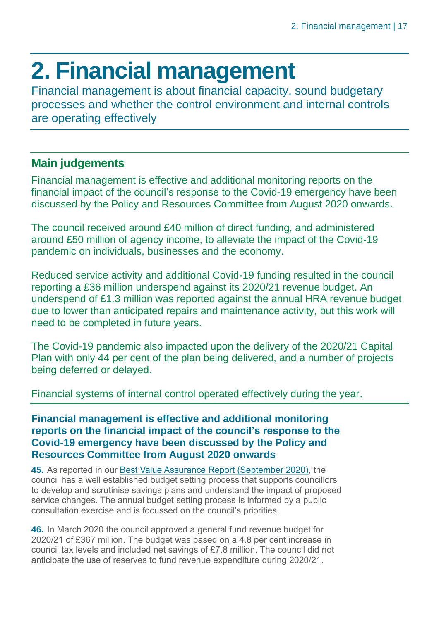### <span id="page-16-0"></span>**2. Financial management**

Financial management is about financial capacity, sound budgetary processes and whether the control environment and internal controls are operating effectively

### **Main judgements**

Financial management is effective and additional monitoring reports on the financial impact of the council's response to the Covid-19 emergency have been discussed by the Policy and Resources Committee from August 2020 onwards.

The council received around £40 million of direct funding, and administered around £50 million of agency income, to alleviate the impact of the Covid-19 pandemic on individuals, businesses and the economy.

Reduced service activity and additional Covid-19 funding resulted in the council reporting a £36 million underspend against its 2020/21 revenue budget. An underspend of £1.3 million was reported against the annual HRA revenue budget due to lower than anticipated repairs and maintenance activity, but this work will need to be completed in future years.

The Covid-19 pandemic also impacted upon the delivery of the 2020/21 Capital Plan with only 44 per cent of the plan being delivered, and a number of projects being deferred or delayed.

Financial systems of internal control operated effectively during the year.

#### **Financial management is effective and additional monitoring reports on the financial impact of the council's response to the Covid-19 emergency have been discussed by the Policy and Resources Committee from August 2020 onwards**

**45.** As reported in our [Best Value Assurance Report \(September 2020\),](https://www.audit-scotland.gov.uk/uploads/docs/report/2020/bv_200929_dundee.pdf) the council has a well established budget setting process that supports councillors to develop and scrutinise savings plans and understand the impact of proposed service changes. The annual budget setting process is informed by a public consultation exercise and is focussed on the council's priorities.

**46.** In March 2020 the council approved a general fund revenue budget for 2020/21 of £367 million. The budget was based on a 4.8 per cent increase in council tax levels and included net savings of £7.8 million. The council did not anticipate the use of reserves to fund revenue expenditure during 2020/21.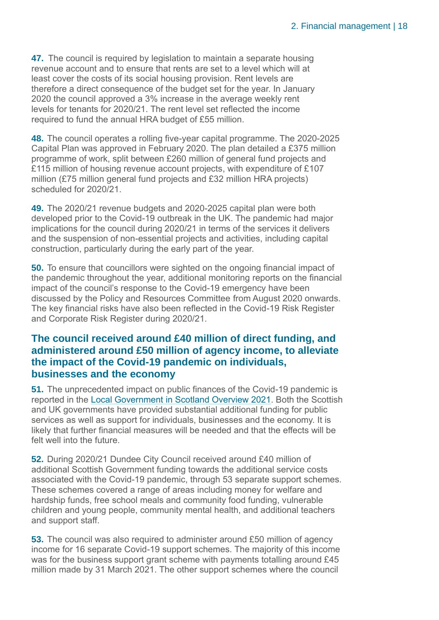**47.** The council is required by legislation to maintain a separate housing revenue account and to ensure that rents are set to a level which will at least cover the costs of its social housing provision. Rent levels are therefore a direct consequence of the budget set for the year. In January 2020 the council approved a 3% increase in the average weekly rent levels for tenants for 2020/21. The rent level set reflected the income required to fund the annual HRA budget of £55 million.

<span id="page-17-2"></span>**48.** The council operates a rolling five-year capital programme. The 2020-2025 Capital Plan was approved in February 2020. The plan detailed a £375 million programme of work, split between £260 million of general fund projects and £115 million of housing revenue account projects, with expenditure of £107 million (£75 million general fund projects and £32 million HRA projects) scheduled for 2020/21.

**49.** The 2020/21 revenue budgets and 2020-2025 capital plan were both developed prior to the Covid-19 outbreak in the UK. The pandemic had major implications for the council during 2020/21 in terms of the services it delivers and the suspension of non-essential projects and activities, including capital construction, particularly during the early part of the year.

<span id="page-17-0"></span>**50.** To ensure that councillors were sighted on the ongoing financial impact of the pandemic throughout the year, additional monitoring reports on the financial impact of the council's response to the Covid-19 emergency have been discussed by the Policy and Resources Committee from August 2020 onwards. The key financial risks have also been reflected in the Covid-19 Risk Register and Corporate Risk Register during 2020/21.

#### **The council received around £40 million of direct funding, and administered around £50 million of agency income, to alleviate the impact of the Covid-19 pandemic on individuals, businesses and the economy**

<span id="page-17-1"></span>**51.** The unprecedented impact on public finances of the Covid-19 pandemic is reported in the [Local Government in Scotland Overview 2021.](https://www.audit-scotland.gov.uk/uploads/docs/report/2021/nr_210527_local_government_overview.pdf) Both the Scottish and UK governments have provided substantial additional funding for public services as well as support for individuals, businesses and the economy. It is likely that further financial measures will be needed and that the effects will be felt well into the future.

**52.** During 2020/21 Dundee City Council received around £40 million of additional Scottish Government funding towards the additional service costs associated with the Covid-19 pandemic, through 53 separate support schemes. These schemes covered a range of areas including money for welfare and hardship funds, free school meals and community food funding, vulnerable children and young people, community mental health, and additional teachers and support staff.

**53.** The council was also required to administer around £50 million of agency income for 16 separate Covid-19 support schemes. The majority of this income was for the business support grant scheme with payments totalling around £45 million made by 31 March 2021. The other support schemes where the council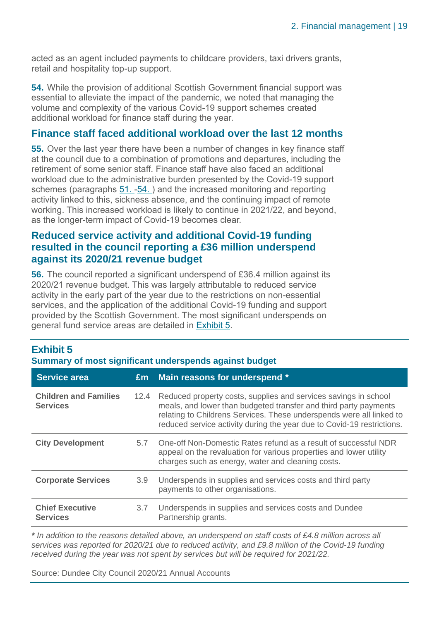acted as an agent included payments to childcare providers, taxi drivers grants, retail and hospitality top-up support.

<span id="page-18-0"></span>**54.** While the provision of additional Scottish Government financial support was essential to alleviate the impact of the pandemic, we noted that managing the volume and complexity of the various Covid-19 support schemes created additional workload for finance staff during the year.

#### **Finance staff faced additional workload over the last 12 months**

**55.** Over the last year there have been a number of changes in key finance staff at the council due to a combination of promotions and departures, including the retirement of some senior staff. Finance staff have also faced an additional workload due to the administrative burden presented by the Covid-19 support schemes (paragraphs [51.](#page-17-1) [-54. \)](#page-18-0) and the increased monitoring and reporting activity linked to this, sickness absence, and the continuing impact of remote working. This increased workload is likely to continue in 2021/22, and beyond, as the longer-term impact of Covid-19 becomes clear.

#### **Reduced service activity and additional Covid-19 funding resulted in the council reporting a £36 million underspend against its 2020/21 revenue budget**

<span id="page-18-2"></span>**56.** The council reported a significant underspend of £36.4 million against its 2020/21 revenue budget. This was largely attributable to reduced service activity in the early part of the year due to the restrictions on non-essential services, and the application of the additional Covid-19 funding and support provided by the Scottish Government. The most significant underspends on general fund service areas are detailed in [Exhibit 5.](#page-18-1)

### <span id="page-18-1"></span>**Exhibit 5**

**Summary of most significant underspends against budget**

| <b>Service area</b>                             | Em   | Main reasons for underspend *                                                                                                                                                                                                                                                         |
|-------------------------------------------------|------|---------------------------------------------------------------------------------------------------------------------------------------------------------------------------------------------------------------------------------------------------------------------------------------|
| <b>Children and Families</b><br><b>Services</b> | 12.4 | Reduced property costs, supplies and services savings in school<br>meals, and lower than budgeted transfer and third party payments<br>relating to Childrens Services. These underspends were all linked to<br>reduced service activity during the year due to Covid-19 restrictions. |
| <b>City Development</b>                         | 5.7  | One-off Non-Domestic Rates refund as a result of successful NDR<br>appeal on the revaluation for various properties and lower utility<br>charges such as energy, water and cleaning costs.                                                                                            |
| <b>Corporate Services</b>                       | 3.9  | Underspends in supplies and services costs and third party<br>payments to other organisations.                                                                                                                                                                                        |
| <b>Chief Executive</b><br><b>Services</b>       | 3.7  | Underspends in supplies and services costs and Dundee<br>Partnership grants.                                                                                                                                                                                                          |

*\* In addition to the reasons detailed above, an underspend on staff costs of £4.8 million across all services was reported for 2020/21 due to reduced activity, and £9.8 million of the Covid-19 funding received during the year was not spent by services but will be required for 2021/22.*

Source: Dundee City Council 2020/21 Annual Accounts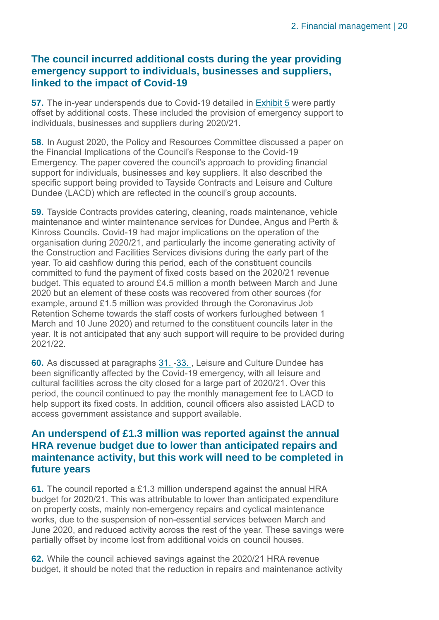#### **The council incurred additional costs during the year providing emergency support to individuals, businesses and suppliers, linked to the impact of Covid-19**

**57.** The in-year underspends due to Covid-19 detailed in [Exhibit 5](#page-18-1) were partly offset by additional costs. These included the provision of emergency support to individuals, businesses and suppliers during 2020/21.

**58.** In August 2020, the Policy and Resources Committee discussed a paper on the Financial Implications of the Council's Response to the Covid-19 Emergency. The paper covered the council's approach to providing financial support for individuals, businesses and key suppliers. It also described the specific support being provided to Tayside Contracts and Leisure and Culture Dundee (LACD) which are reflected in the council's group accounts.

**59.** Tayside Contracts provides catering, cleaning, roads maintenance, vehicle maintenance and winter maintenance services for Dundee, Angus and Perth & Kinross Councils. Covid-19 had major implications on the operation of the organisation during 2020/21, and particularly the income generating activity of the Construction and Facilities Services divisions during the early part of the year. To aid cashflow during this period, each of the constituent councils committed to fund the payment of fixed costs based on the 2020/21 revenue budget. This equated to around £4.5 million a month between March and June 2020 but an element of these costs was recovered from other sources (for example, around £1.5 million was provided through the Coronavirus Job Retention Scheme towards the staff costs of workers furloughed between 1 March and 10 June 2020) and returned to the constituent councils later in the year. It is not anticipated that any such support will require to be provided during 2021/22.

**60.** As discussed at paragraphs [31.](#page-12-0) [-33. ,](#page-12-1) Leisure and Culture Dundee has been significantly affected by the Covid-19 emergency, with all leisure and cultural facilities across the city closed for a large part of 2020/21. Over this period, the council continued to pay the monthly management fee to LACD to help support its fixed costs. In addition, council officers also assisted LACD to access government assistance and support available.

#### **An underspend of £1.3 million was reported against the annual HRA revenue budget due to lower than anticipated repairs and maintenance activity, but this work will need to be completed in future years**

<span id="page-19-0"></span>**61.** The council reported a £1.3 million underspend against the annual HRA budget for 2020/21. This was attributable to lower than anticipated expenditure on property costs, mainly non-emergency repairs and cyclical maintenance works, due to the suspension of non-essential services between March and June 2020, and reduced activity across the rest of the year. These savings were partially offset by income lost from additional voids on council houses.

**62.** While the council achieved savings against the 2020/21 HRA revenue budget, it should be noted that the reduction in repairs and maintenance activity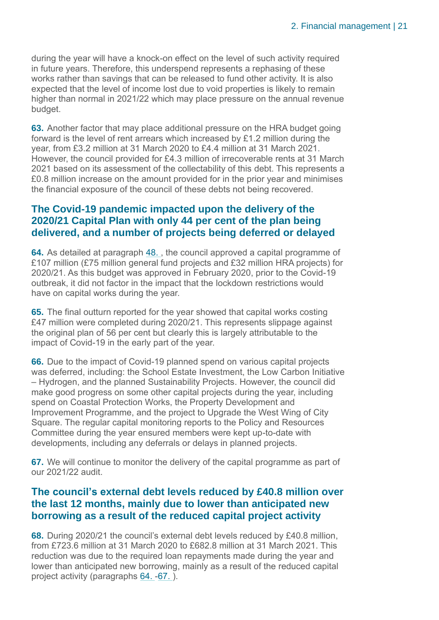during the year will have a knock-on effect on the level of such activity required in future years. Therefore, this underspend represents a rephasing of these works rather than savings that can be released to fund other activity. It is also expected that the level of income lost due to void properties is likely to remain higher than normal in 2021/22 which may place pressure on the annual revenue budget.

<span id="page-20-2"></span>**63.** Another factor that may place additional pressure on the HRA budget going forward is the level of rent arrears which increased by £1.2 million during the year, from £3.2 million at 31 March 2020 to £4.4 million at 31 March 2021. However, the council provided for £4.3 million of irrecoverable rents at 31 March 2021 based on its assessment of the collectability of this debt. This represents a £0.8 million increase on the amount provided for in the prior year and minimises the financial exposure of the council of these debts not being recovered.

#### **The Covid-19 pandemic impacted upon the delivery of the 2020/21 Capital Plan with only 44 per cent of the plan being delivered, and a number of projects being deferred or delayed**

<span id="page-20-0"></span>**64.** As detailed at paragraph [48. ,](#page-17-2) the council approved a capital programme of £107 million (£75 million general fund projects and £32 million HRA projects) for 2020/21. As this budget was approved in February 2020, prior to the Covid-19 outbreak, it did not factor in the impact that the lockdown restrictions would have on capital works during the year.

**65.** The final outturn reported for the year showed that capital works costing £47 million were completed during 2020/21. This represents slippage against the original plan of 56 per cent but clearly this is largely attributable to the impact of Covid-19 in the early part of the year.

**66.** Due to the impact of Covid-19 planned spend on various capital projects was deferred, including: the School Estate Investment, the Low Carbon Initiative – Hydrogen, and the planned Sustainability Projects. However, the council did make good progress on some other capital projects during the year, including spend on Coastal Protection Works, the Property Development and Improvement Programme, and the project to Upgrade the West Wing of City Square. The regular capital monitoring reports to the Policy and Resources Committee during the year ensured members were kept up-to-date with developments, including any deferrals or delays in planned projects.

<span id="page-20-1"></span>**67.** We will continue to monitor the delivery of the capital programme as part of our 2021/22 audit.

#### **The council's external debt levels reduced by £40.8 million over the last 12 months, mainly due to lower than anticipated new borrowing as a result of the reduced capital project activity**

**68.** During 2020/21 the council's external debt levels reduced by £40.8 million, from £723.6 million at 31 March 2020 to £682.8 million at 31 March 2021. This reduction was due to the required loan repayments made during the year and lower than anticipated new borrowing, mainly as a result of the reduced capital project activity (paragraphs [64.](#page-20-0) [-67. \)](#page-20-1).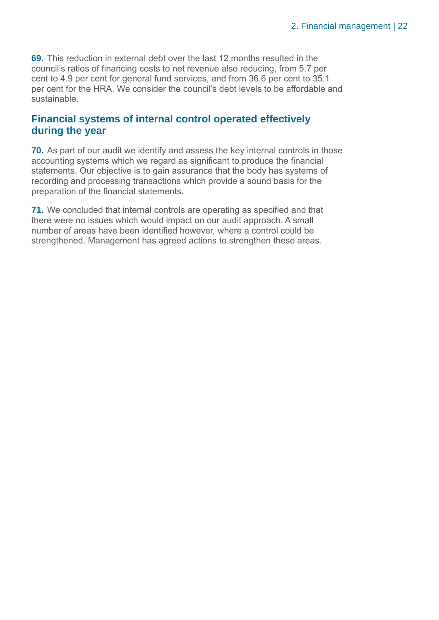**69.** This reduction in external debt over the last 12 months resulted in the council's ratios of financing costs to net revenue also reducing, from 5.7 per cent to 4.9 per cent for general fund services, and from 36.6 per cent to 35.1 per cent for the HRA. We consider the council's debt levels to be affordable and sustainable.

#### **Financial systems of internal control operated effectively during the year**

**70.** As part of our audit we identify and assess the key internal controls in those accounting systems which we regard as significant to produce the financial statements. Our objective is to gain assurance that the body has systems of recording and processing transactions which provide a sound basis for the preparation of the financial statements.

**71.** We concluded that internal controls are operating as specified and that there were no issues which would impact on our audit approach. A small number of areas have been identified however, where a control could be strengthened. Management has agreed actions to strengthen these areas.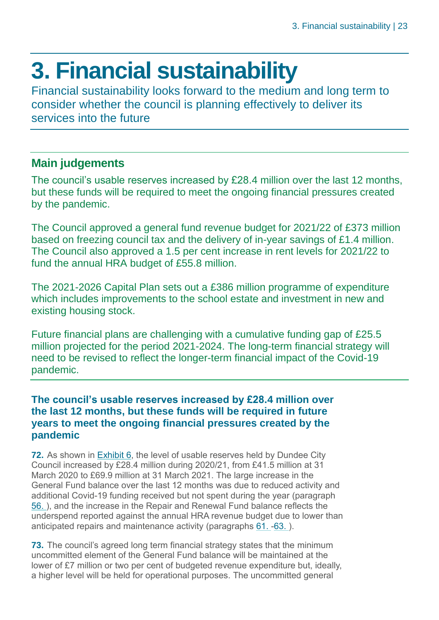### <span id="page-22-0"></span>**3. Financial sustainability**

Financial sustainability looks forward to the medium and long term to consider whether the council is planning effectively to deliver its services into the future

### **Main judgements**

The council's usable reserves increased by £28.4 million over the last 12 months, but these funds will be required to meet the ongoing financial pressures created by the pandemic.

The Council approved a general fund revenue budget for 2021/22 of £373 million based on freezing council tax and the delivery of in-year savings of £1.4 million. The Council also approved a 1.5 per cent increase in rent levels for 2021/22 to fund the annual HRA budget of £55.8 million.

The 2021-2026 Capital Plan sets out a £386 million programme of expenditure which includes improvements to the school estate and investment in new and existing housing stock.

Future financial plans are challenging with a cumulative funding gap of £25.5 million projected for the period 2021-2024. The long-term financial strategy will need to be revised to reflect the longer-term financial impact of the Covid-19 pandemic.

#### **The council's usable reserves increased by £28.4 million over the last 12 months, but these funds will be required in future years to meet the ongoing financial pressures created by the pandemic**

**72.** As shown in [Exhibit 6,](#page-23-0) the level of usable reserves held by Dundee City Council increased by £28.4 million during 2020/21, from £41.5 million at 31 March 2020 to £69.9 million at 31 March 2021. The large increase in the General Fund balance over the last 12 months was due to reduced activity and additional Covid-19 funding received but not spent during the year (paragraph [56. \)](#page-18-2), and the increase in the Repair and Renewal Fund balance reflects the underspend reported against the annual HRA revenue budget due to lower than anticipated repairs and maintenance activity (paragraphs [61.](#page-19-0) [-63. \)](#page-20-2).

**73.** The council's agreed long term financial strategy states that the minimum uncommitted element of the General Fund balance will be maintained at the lower of £7 million or two per cent of budgeted revenue expenditure but, ideally, a higher level will be held for operational purposes. The uncommitted general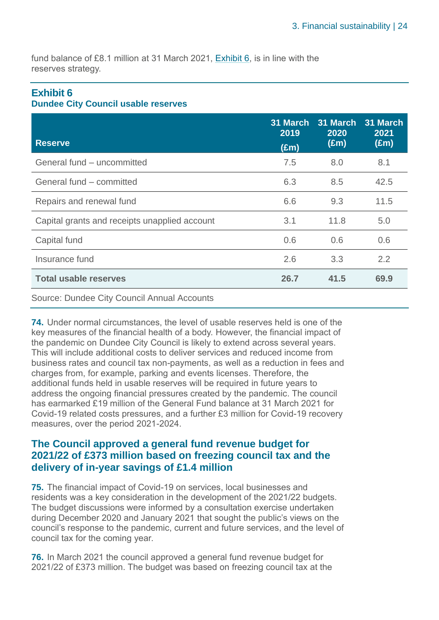fund balance of £8.1 million at 31 March 2021, [Exhibit 6,](#page-23-0) is in line with the reserves strategy.

#### <span id="page-23-0"></span>**Exhibit 6**

#### **Dundee City Council usable reserves**

| <b>Reserve</b>                                | 31 March<br>2019<br>$(\text{Em})$ | 31 March<br>2020<br>$(\text{Em})$ | 31 March<br>2021<br>$(\text{Em})$ |
|-----------------------------------------------|-----------------------------------|-----------------------------------|-----------------------------------|
| General fund - uncommitted                    | 7.5                               | 8.0                               | 8.1                               |
| General fund - committed                      | 6.3                               | 8.5                               | 42.5                              |
| Repairs and renewal fund                      | 6.6                               | 9.3                               | 11.5                              |
| Capital grants and receipts unapplied account | 3.1                               | 11.8                              | 5.0                               |
| Capital fund                                  | 0.6                               | 0.6                               | 0.6                               |
| Insurance fund                                | 2.6                               | 3.3                               | 2.2                               |
| <b>Total usable reserves</b>                  | 26.7                              | 41.5                              | 69.9                              |

#### Source: Dundee City Council Annual Accounts

**74.** Under normal circumstances, the level of usable reserves held is one of the key measures of the financial health of a body. However, the financial impact of the pandemic on Dundee City Council is likely to extend across several years. This will include additional costs to deliver services and reduced income from business rates and council tax non-payments, as well as a reduction in fees and charges from, for example, parking and events licenses. Therefore, the additional funds held in usable reserves will be required in future years to address the ongoing financial pressures created by the pandemic. The council has earmarked £19 million of the General Fund balance at 31 March 2021 for Covid-19 related costs pressures, and a further £3 million for Covid-19 recovery measures, over the period 2021-2024.

#### **The Council approved a general fund revenue budget for 2021/22 of £373 million based on freezing council tax and the delivery of in-year savings of £1.4 million**

**75.** The financial impact of Covid-19 on services, local businesses and residents was a key consideration in the development of the 2021/22 budgets. The budget discussions were informed by a consultation exercise undertaken during December 2020 and January 2021 that sought the public's views on the council's response to the pandemic, current and future services, and the level of council tax for the coming year.

**76.** In March 2021 the council approved a general fund revenue budget for 2021/22 of £373 million. The budget was based on freezing council tax at the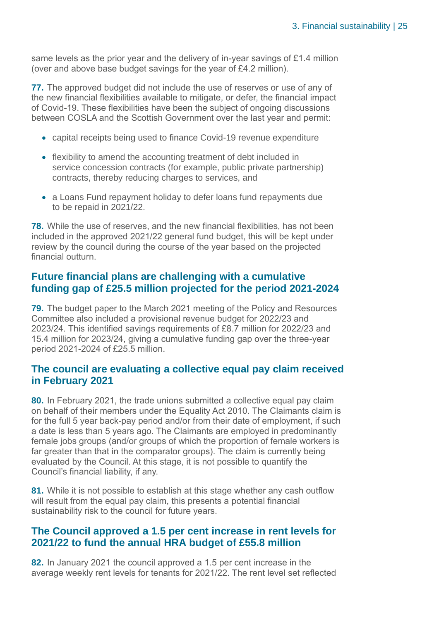same levels as the prior year and the delivery of in-year savings of £1.4 million (over and above base budget savings for the year of £4.2 million).

**77.** The approved budget did not include the use of reserves or use of any of the new financial flexibilities available to mitigate, or defer, the financial impact of Covid-19. These flexibilities have been the subject of ongoing discussions between COSLA and the Scottish Government over the last year and permit:

- capital receipts being used to finance Covid-19 revenue expenditure
- flexibility to amend the accounting treatment of debt included in service concession contracts (for example, public private partnership) contracts, thereby reducing charges to services, and
- a Loans Fund repayment holiday to defer loans fund repayments due to be repaid in 2021/22.

**78.** While the use of reserves, and the new financial flexibilities, has not been included in the approved 2021/22 general fund budget, this will be kept under review by the council during the course of the year based on the projected financial outturn.

#### **Future financial plans are challenging with a cumulative funding gap of £25.5 million projected for the period 2021-2024**

**79.** The budget paper to the March 2021 meeting of the Policy and Resources Committee also included a provisional revenue budget for 2022/23 and 2023/24. This identified savings requirements of £8.7 million for 2022/23 and 15.4 million for 2023/24, giving a cumulative funding gap over the three-year period 2021-2024 of £25.5 million.

#### **The council are evaluating a collective equal pay claim received in February 2021**

**80.** In February 2021, the trade unions submitted a collective equal pay claim on behalf of their members under the Equality Act 2010. The Claimants claim is for the full 5 year back-pay period and/or from their date of employment, if such a date is less than 5 years ago. The Claimants are employed in predominantly female jobs groups (and/or groups of which the proportion of female workers is far greater than that in the comparator groups). The claim is currently being evaluated by the Council. At this stage, it is not possible to quantify the Council's financial liability, if any.

**81.** While it is not possible to establish at this stage whether any cash outflow will result from the equal pay claim, this presents a potential financial sustainability risk to the council for future years.

#### **The Council approved a 1.5 per cent increase in rent levels for 2021/22 to fund the annual HRA budget of £55.8 million**

**82.** In January 2021 the council approved a 1.5 per cent increase in the average weekly rent levels for tenants for 2021/22. The rent level set reflected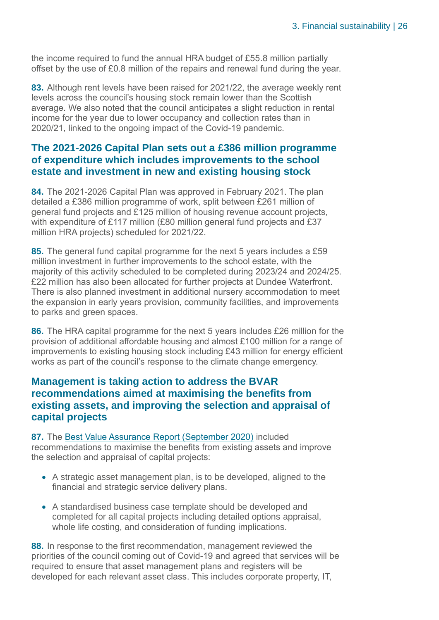the income required to fund the annual HRA budget of £55.8 million partially offset by the use of £0.8 million of the repairs and renewal fund during the year.

**83.** Although rent levels have been raised for 2021/22, the average weekly rent levels across the council's housing stock remain lower than the Scottish average. We also noted that the council anticipates a slight reduction in rental income for the year due to lower occupancy and collection rates than in 2020/21, linked to the ongoing impact of the Covid-19 pandemic.

#### **The 2021-2026 Capital Plan sets out a £386 million programme of expenditure which includes improvements to the school estate and investment in new and existing housing stock**

**84.** The 2021-2026 Capital Plan was approved in February 2021. The plan detailed a £386 million programme of work, split between £261 million of general fund projects and £125 million of housing revenue account projects, with expenditure of £117 million (£80 million general fund projects and £37 million HRA projects) scheduled for 2021/22.

**85.** The general fund capital programme for the next 5 years includes a £59 million investment in further improvements to the school estate, with the majority of this activity scheduled to be completed during 2023/24 and 2024/25. £22 million has also been allocated for further projects at Dundee Waterfront. There is also planned investment in additional nursery accommodation to meet the expansion in early years provision, community facilities, and improvements to parks and green spaces.

**86.** The HRA capital programme for the next 5 years includes £26 million for the provision of additional affordable housing and almost £100 million for a range of improvements to existing housing stock including £43 million for energy efficient works as part of the council's response to the climate change emergency.

#### **Management is taking action to address the BVAR recommendations aimed at maximising the benefits from existing assets, and improving the selection and appraisal of capital projects**

**87.** The [Best Value Assurance Report \(September 2020\)](https://www.audit-scotland.gov.uk/uploads/docs/report/2020/bv_200929_dundee.pdf) included recommendations to maximise the benefits from existing assets and improve the selection and appraisal of capital projects:

- A strategic asset management plan, is to be developed, aligned to the financial and strategic service delivery plans.
- A standardised business case template should be developed and completed for all capital projects including detailed options appraisal, whole life costing, and consideration of funding implications.

<span id="page-25-0"></span>**88.** In response to the first recommendation, management reviewed the priorities of the council coming out of Covid-19 and agreed that services will be required to ensure that asset management plans and registers will be developed for each relevant asset class. This includes corporate property, IT,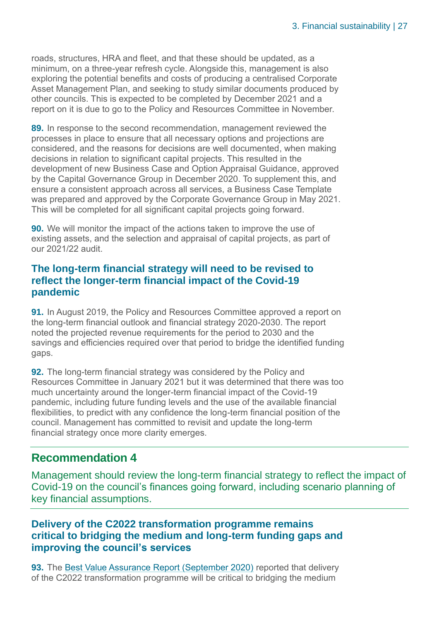roads, structures, HRA and fleet, and that these should be updated, as a minimum, on a three-year refresh cycle. Alongside this, management is also exploring the potential benefits and costs of producing a centralised Corporate Asset Management Plan, and seeking to study similar documents produced by other councils. This is expected to be completed by December 2021 and a report on it is due to go to the Policy and Resources Committee in November.

<span id="page-26-2"></span>**89.** In response to the second recommendation, management reviewed the processes in place to ensure that all necessary options and projections are considered, and the reasons for decisions are well documented, when making decisions in relation to significant capital projects. This resulted in the development of new Business Case and Option Appraisal Guidance, approved by the Capital Governance Group in December 2020. To supplement this, and ensure a consistent approach across all services, a Business Case Template was prepared and approved by the Corporate Governance Group in May 2021. This will be completed for all significant capital projects going forward.

**90.** We will monitor the impact of the actions taken to improve the use of existing assets, and the selection and appraisal of capital projects, as part of our 2021/22 audit.

#### **The long-term financial strategy will need to be revised to reflect the longer-term financial impact of the Covid-19 pandemic**

<span id="page-26-0"></span>**91.** In August 2019, the Policy and Resources Committee approved a report on the long-term financial outlook and financial strategy 2020-2030. The report noted the projected revenue requirements for the period to 2030 and the savings and efficiencies required over that period to bridge the identified funding gaps.

<span id="page-26-1"></span>**92.** The long-term financial strategy was considered by the Policy and Resources Committee in January 2021 but it was determined that there was too much uncertainty around the longer-term financial impact of the Covid-19 pandemic, including future funding levels and the use of the available financial flexibilities, to predict with any confidence the long-term financial position of the council. Management has committed to revisit and update the long-term financial strategy once more clarity emerges.

#### **Recommendation 4**

Management should review the long-term financial strategy to reflect the impact of Covid-19 on the council's finances going forward, including scenario planning of key financial assumptions.

#### **Delivery of the C2022 transformation programme remains critical to bridging the medium and long-term funding gaps and improving the council's services**

**93.** The [Best Value Assurance Report \(September 2020\)](https://www.audit-scotland.gov.uk/uploads/docs/report/2020/bv_200929_dundee.pdf) reported that delivery of the C2022 transformation programme will be critical to bridging the medium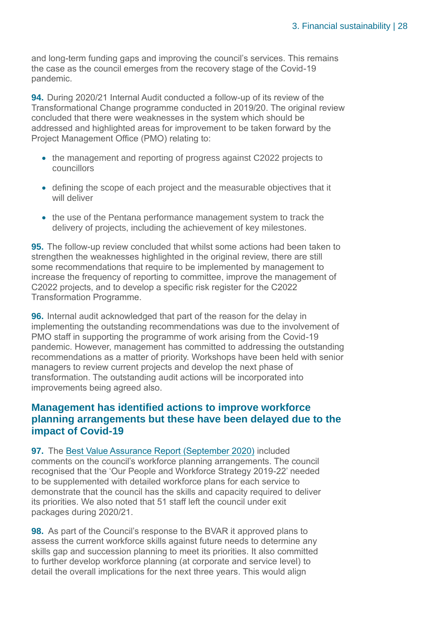and long-term funding gaps and improving the council's services. This remains the case as the council emerges from the recovery stage of the Covid-19 pandemic.

**94.** During 2020/21 Internal Audit conducted a follow-up of its review of the Transformational Change programme conducted in 2019/20. The original review concluded that there were weaknesses in the system which should be addressed and highlighted areas for improvement to be taken forward by the Project Management Office (PMO) relating to:

- the management and reporting of progress against C2022 projects to councillors
- defining the scope of each project and the measurable objectives that it will deliver
- the use of the Pentana performance management system to track the delivery of projects, including the achievement of key milestones.

**95.** The follow-up review concluded that whilst some actions had been taken to strengthen the weaknesses highlighted in the original review, there are still some recommendations that require to be implemented by management to increase the frequency of reporting to committee, improve the management of C2022 projects, and to develop a specific risk register for the C2022 Transformation Programme.

**96.** Internal audit acknowledged that part of the reason for the delay in implementing the outstanding recommendations was due to the involvement of PMO staff in supporting the programme of work arising from the Covid-19 pandemic. However, management has committed to addressing the outstanding recommendations as a matter of priority. Workshops have been held with senior managers to review current projects and develop the next phase of transformation. The outstanding audit actions will be incorporated into improvements being agreed also.

#### **Management has identified actions to improve workforce planning arrangements but these have been delayed due to the impact of Covid-19**

<span id="page-27-0"></span>**97.** The [Best Value Assurance Report \(September 2020\)](https://www.audit-scotland.gov.uk/uploads/docs/report/2020/bv_200929_dundee.pdf) included comments on the council's workforce planning arrangements. The council recognised that the 'Our People and Workforce Strategy 2019-22' needed to be supplemented with detailed workforce plans for each service to demonstrate that the council has the skills and capacity required to deliver its priorities. We also noted that 51 staff left the council under exit packages during 2020/21.

**98.** As part of the Council's response to the BVAR it approved plans to assess the current workforce skills against future needs to determine any skills gap and succession planning to meet its priorities. It also committed to further develop workforce planning (at corporate and service level) to detail the overall implications for the next three years. This would align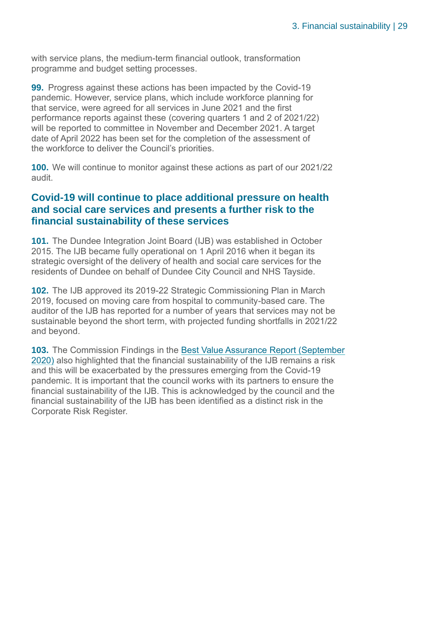with service plans, the medium-term financial outlook, transformation programme and budget setting processes.

**99.** Progress against these actions has been impacted by the Covid-19 pandemic. However, service plans, which include workforce planning for that service, were agreed for all services in June 2021 and the first performance reports against these (covering quarters 1 and 2 of 2021/22) will be reported to committee in November and December 2021. A target date of April 2022 has been set for the completion of the assessment of the workforce to deliver the Council's priorities.

<span id="page-28-0"></span>**100.** We will continue to monitor against these actions as part of our 2021/22 audit.

#### **Covid-19 will continue to place additional pressure on health and social care services and presents a further risk to the financial sustainability of these services**

**101.** The Dundee Integration Joint Board (IJB) was established in October 2015. The IJB became fully operational on 1 April 2016 when it began its strategic oversight of the delivery of health and social care services for the residents of Dundee on behalf of Dundee City Council and NHS Tayside.

**102.** The IJB approved its 2019-22 Strategic Commissioning Plan in March 2019, focused on moving care from hospital to community-based care. The auditor of the IJB has reported for a number of years that services may not be sustainable beyond the short term, with projected funding shortfalls in 2021/22 and beyond.

**103.** The Commission Findings in the [Best Value Assurance Report \(September](https://www.audit-scotland.gov.uk/uploads/docs/report/2020/bv_200929_dundee.pdf)  [2020\)](https://www.audit-scotland.gov.uk/uploads/docs/report/2020/bv_200929_dundee.pdf) also highlighted that the financial sustainability of the IJB remains a risk and this will be exacerbated by the pressures emerging from the Covid-19 pandemic. It is important that the council works with its partners to ensure the financial sustainability of the IJB. This is acknowledged by the council and the financial sustainability of the IJB has been identified as a distinct risk in the Corporate Risk Register.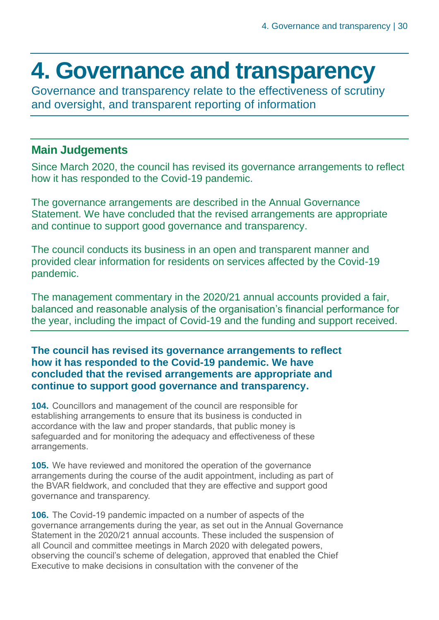### <span id="page-29-0"></span>**4. Governance and transparency**

Governance and transparency relate to the effectiveness of scrutiny and oversight, and transparent reporting of information

#### **Main Judgements**

Since March 2020, the council has revised its governance arrangements to reflect how it has responded to the Covid-19 pandemic.

The governance arrangements are described in the Annual Governance Statement. We have concluded that the revised arrangements are appropriate and continue to support good governance and transparency.

The council conducts its business in an open and transparent manner and provided clear information for residents on services affected by the Covid-19 pandemic.

The management commentary in the 2020/21 annual accounts provided a fair, balanced and reasonable analysis of the organisation's financial performance for the year, including the impact of Covid-19 and the funding and support received.

#### **The council has revised its governance arrangements to reflect how it has responded to the Covid-19 pandemic. We have concluded that the revised arrangements are appropriate and continue to support good governance and transparency.**

**104.** Councillors and management of the council are responsible for establishing arrangements to ensure that its business is conducted in accordance with the law and proper standards, that public money is safeguarded and for monitoring the adequacy and effectiveness of these arrangements.

**105.** We have reviewed and monitored the operation of the governance arrangements during the course of the audit appointment, including as part of the BVAR fieldwork, and concluded that they are effective and support good governance and transparency.

**106.** The Covid-19 pandemic impacted on a number of aspects of the governance arrangements during the year, as set out in the Annual Governance Statement in the 2020/21 annual accounts. These included the suspension of all Council and committee meetings in March 2020 with delegated powers, observing the council's scheme of delegation, approved that enabled the Chief Executive to make decisions in consultation with the convener of the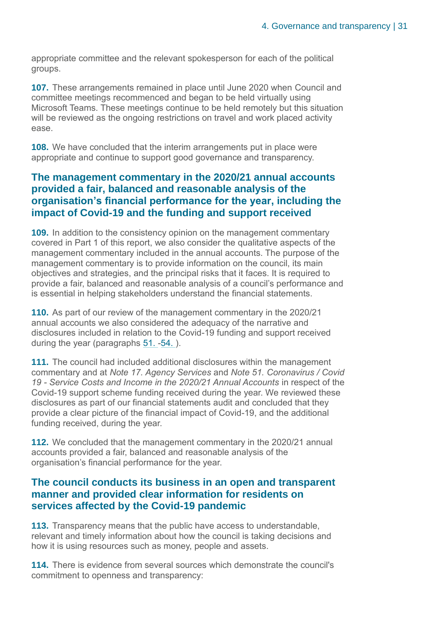appropriate committee and the relevant spokesperson for each of the political groups.

**107.** These arrangements remained in place until June 2020 when Council and committee meetings recommenced and began to be held virtually using Microsoft Teams. These meetings continue to be held remotely but this situation will be reviewed as the ongoing restrictions on travel and work placed activity ease.

**108.** We have concluded that the interim arrangements put in place were appropriate and continue to support good governance and transparency.

#### **The management commentary in the 2020/21 annual accounts provided a fair, balanced and reasonable analysis of the organisation's financial performance for the year, including the impact of Covid-19 and the funding and support received**

<span id="page-30-0"></span>**109.** In addition to the consistency opinion on the management commentary covered in Part 1 of this report, we also consider the qualitative aspects of the management commentary included in the annual accounts. The purpose of the management commentary is to provide information on the council, its main objectives and strategies, and the principal risks that it faces. It is required to provide a fair, balanced and reasonable analysis of a council's performance and is essential in helping stakeholders understand the financial statements.

**110.** As part of our review of the management commentary in the 2020/21 annual accounts we also considered the adequacy of the narrative and disclosures included in relation to the Covid-19 funding and support received during the year (paragraphs [51.](#page-17-1) [-54. \)](#page-18-0).

**111.** The council had included additional disclosures within the management commentary and at *Note 17. Agency Services* and *Note 51. Coronavirus / Covid 19 - Service Costs and Income in the 2020/21 Annual Accounts* in respect of the Covid-19 support scheme funding received during the year. We reviewed these disclosures as part of our financial statements audit and concluded that they provide a clear picture of the financial impact of Covid-19, and the additional funding received, during the year.

<span id="page-30-1"></span>**112.** We concluded that the management commentary in the 2020/21 annual accounts provided a fair, balanced and reasonable analysis of the organisation's financial performance for the year.

#### **The council conducts its business in an open and transparent manner and provided clear information for residents on services affected by the Covid-19 pandemic**

**113.** Transparency means that the public have access to understandable, relevant and timely information about how the council is taking decisions and how it is using resources such as money, people and assets.

**114.** There is evidence from several sources which demonstrate the council's commitment to openness and transparency: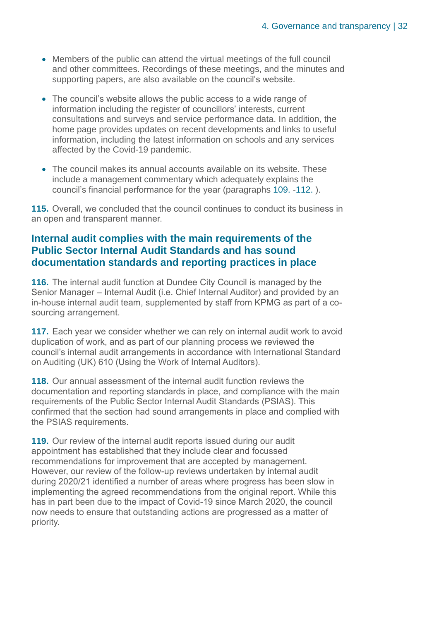- Members of the public can attend the virtual meetings of the full council and other committees. Recordings of these meetings, and the minutes and supporting papers, are also available on the council's website.
- The council's website allows the public access to a wide range of information including the register of councillors' interests, current consultations and surveys and service performance data. In addition, the home page provides updates on recent developments and links to useful information, including the latest information on schools and any services affected by the Covid-19 pandemic.
- The council makes its annual accounts available on its website. These include a management commentary which adequately explains the council's financial performance for the year (paragraphs [109.](#page-30-0) [-112. \)](#page-30-1).

**115.** Overall, we concluded that the council continues to conduct its business in an open and transparent manner.

#### **Internal audit complies with the main requirements of the Public Sector Internal Audit Standards and has sound documentation standards and reporting practices in place**

<span id="page-31-0"></span>**116.** The internal audit function at Dundee City Council is managed by the Senior Manager – Internal Audit (i.e. Chief Internal Auditor) and provided by an in-house internal audit team, supplemented by staff from KPMG as part of a cosourcing arrangement.

**117.** Each year we consider whether we can rely on internal audit work to avoid duplication of work, and as part of our planning process we reviewed the council's internal audit arrangements in accordance with International Standard on Auditing (UK) 610 (Using the Work of Internal Auditors).

**118.** Our annual assessment of the internal audit function reviews the documentation and reporting standards in place, and compliance with the main requirements of the Public Sector Internal Audit Standards (PSIAS). This confirmed that the section had sound arrangements in place and complied with the PSIAS requirements.

<span id="page-31-1"></span>**119.** Our review of the internal audit reports issued during our audit appointment has established that they include clear and focussed recommendations for improvement that are accepted by management. However, our review of the follow-up reviews undertaken by internal audit during 2020/21 identified a number of areas where progress has been slow in implementing the agreed recommendations from the original report. While this has in part been due to the impact of Covid-19 since March 2020, the council now needs to ensure that outstanding actions are progressed as a matter of priority.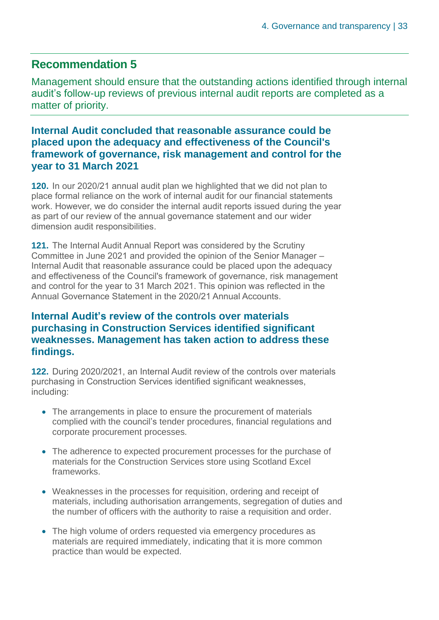#### **Recommendation 5**

Management should ensure that the outstanding actions identified through internal audit's follow-up reviews of previous internal audit reports are completed as a matter of priority.

#### **Internal Audit concluded that reasonable assurance could be placed upon the adequacy and effectiveness of the Council's framework of governance, risk management and control for the year to 31 March 2021**

**120.** In our 2020/21 annual audit plan we highlighted that we did not plan to place formal reliance on the work of internal audit for our financial statements work. However, we do consider the internal audit reports issued during the year as part of our review of the annual governance statement and our wider dimension audit responsibilities.

**121.** The Internal Audit Annual Report was considered by the Scrutiny Committee in June 2021 and provided the opinion of the Senior Manager – Internal Audit that reasonable assurance could be placed upon the adequacy and effectiveness of the Council's framework of governance, risk management and control for the year to 31 March 2021. This opinion was reflected in the Annual Governance Statement in the 2020/21 Annual Accounts.

#### **Internal Audit's review of the controls over materials purchasing in Construction Services identified significant weaknesses. Management has taken action to address these findings.**

**122.** During 2020/2021, an Internal Audit review of the controls over materials purchasing in Construction Services identified significant weaknesses, including:

- The arrangements in place to ensure the procurement of materials complied with the council's tender procedures, financial regulations and corporate procurement processes.
- The adherence to expected procurement processes for the purchase of materials for the Construction Services store using Scotland Excel frameworks.
- Weaknesses in the processes for requisition, ordering and receipt of materials, including authorisation arrangements, segregation of duties and the number of officers with the authority to raise a requisition and order.
- The high volume of orders requested via emergency procedures as materials are required immediately, indicating that it is more common practice than would be expected.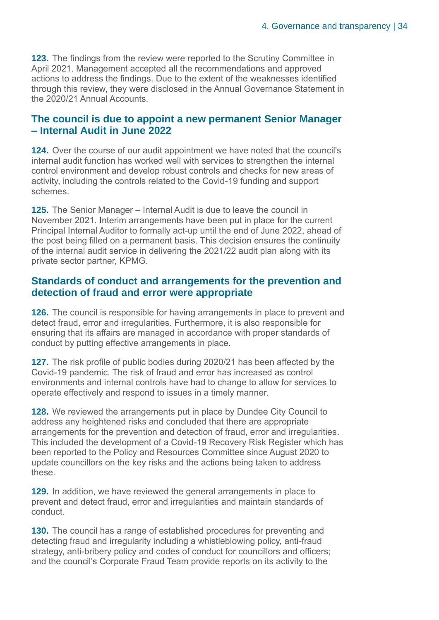**123.** The findings from the review were reported to the Scrutiny Committee in April 2021. Management accepted all the recommendations and approved actions to address the findings. Due to the extent of the weaknesses identified through this review, they were disclosed in the Annual Governance Statement in the 2020/21 Annual Accounts.

#### **The council is due to appoint a new permanent Senior Manager – Internal Audit in June 2022**

**124.** Over the course of our audit appointment we have noted that the council's internal audit function has worked well with services to strengthen the internal control environment and develop robust controls and checks for new areas of activity, including the controls related to the Covid-19 funding and support schemes.

**125.** The Senior Manager – Internal Audit is due to leave the council in November 2021. Interim arrangements have been put in place for the current Principal Internal Auditor to formally act-up until the end of June 2022, ahead of the post being filled on a permanent basis. This decision ensures the continuity of the internal audit service in delivering the 2021/22 audit plan along with its private sector partner, KPMG.

#### **Standards of conduct and arrangements for the prevention and detection of fraud and error were appropriate**

**126.** The council is responsible for having arrangements in place to prevent and detect fraud, error and irregularities. Furthermore, it is also responsible for ensuring that its affairs are managed in accordance with proper standards of conduct by putting effective arrangements in place.

**127.** The risk profile of public bodies during 2020/21 has been affected by the Covid-19 pandemic. The risk of fraud and error has increased as control environments and internal controls have had to change to allow for services to operate effectively and respond to issues in a timely manner.

**128.** We reviewed the arrangements put in place by Dundee City Council to address any heightened risks and concluded that there are appropriate arrangements for the prevention and detection of fraud, error and irregularities. This included the development of a Covid-19 Recovery Risk Register which has been reported to the Policy and Resources Committee since August 2020 to update councillors on the key risks and the actions being taken to address these.

**129.** In addition, we have reviewed the general arrangements in place to prevent and detect fraud, error and irregularities and maintain standards of conduct.

**130.** The council has a range of established procedures for preventing and detecting fraud and irregularity including a whistleblowing policy, anti-fraud strategy, anti-bribery policy and codes of conduct for councillors and officers; and the council's Corporate Fraud Team provide reports on its activity to the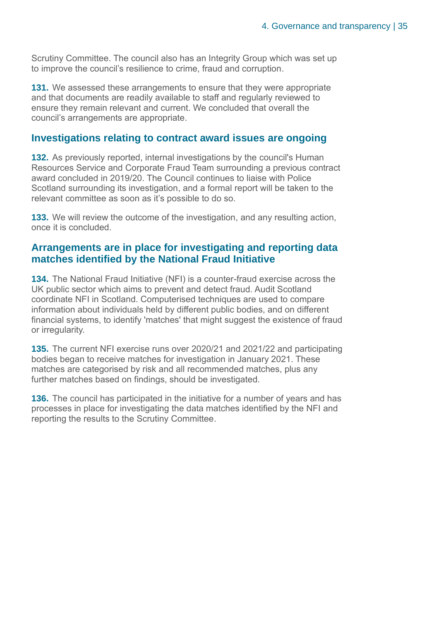Scrutiny Committee. The council also has an Integrity Group which was set up to improve the council's resilience to crime, fraud and corruption.

**131.** We assessed these arrangements to ensure that they were appropriate and that documents are readily available to staff and regularly reviewed to ensure they remain relevant and current. We concluded that overall the council's arrangements are appropriate.

#### **Investigations relating to contract award issues are ongoing**

**132.** As previously reported, internal investigations by the council's Human Resources Service and Corporate Fraud Team surrounding a previous contract award concluded in 2019/20. The Council continues to liaise with Police Scotland surrounding its investigation, and a formal report will be taken to the relevant committee as soon as it's possible to do so.

**133.** We will review the outcome of the investigation, and any resulting action, once it is concluded.

#### **Arrangements are in place for investigating and reporting data matches identified by the National Fraud Initiative**

**134.** The National Fraud Initiative (NFI) is a counter-fraud exercise across the UK public sector which aims to prevent and detect fraud. Audit Scotland coordinate NFI in Scotland. Computerised techniques are used to compare information about individuals held by different public bodies, and on different financial systems, to identify 'matches' that might suggest the existence of fraud or irregularity.

**135.** The current NFI exercise runs over 2020/21 and 2021/22 and participating bodies began to receive matches for investigation in January 2021. These matches are categorised by risk and all recommended matches, plus any further matches based on findings, should be investigated.

**136.** The council has participated in the initiative for a number of years and has processes in place for investigating the data matches identified by the NFI and reporting the results to the Scrutiny Committee.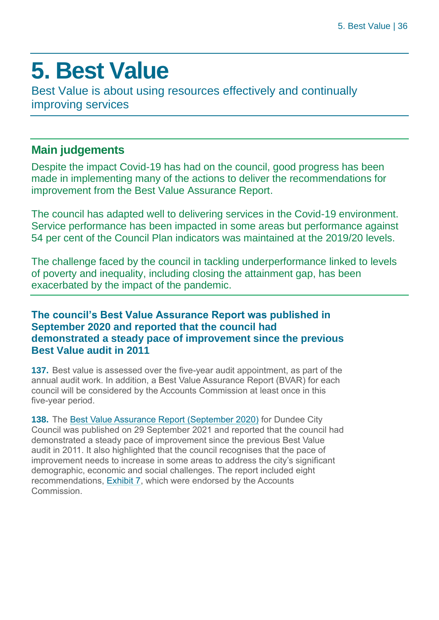### <span id="page-35-0"></span>**5. Best Value**

Best Value is about using resources effectively and continually improving services

#### **Main judgements**

Despite the impact Covid-19 has had on the council, good progress has been made in implementing many of the actions to deliver the recommendations for improvement from the Best Value Assurance Report.

The council has adapted well to delivering services in the Covid-19 environment. Service performance has been impacted in some areas but performance against 54 per cent of the Council Plan indicators was maintained at the 2019/20 levels.

The challenge faced by the council in tackling underperformance linked to levels of poverty and inequality, including closing the attainment gap, has been exacerbated by the impact of the pandemic.

#### **The council's Best Value Assurance Report was published in September 2020 and reported that the council had demonstrated a steady pace of improvement since the previous Best Value audit in 2011**

**137.** Best value is assessed over the five-year audit appointment, as part of the annual audit work. In addition, a Best Value Assurance Report (BVAR) for each council will be considered by the Accounts Commission at least once in this five-year period.

**138.** The [Best Value Assurance Report \(September 2020\)](https://www.audit-scotland.gov.uk/uploads/docs/report/2020/bv_200929_dundee.pdf) for Dundee City Council was published on 29 September 2021 and reported that the council had demonstrated a steady pace of improvement since the previous Best Value audit in 2011. It also highlighted that the council recognises that the pace of improvement needs to increase in some areas to address the city's significant demographic, economic and social challenges. The report included eight recommendations, [Exhibit 7,](#page-36-0) which were endorsed by the Accounts Commission.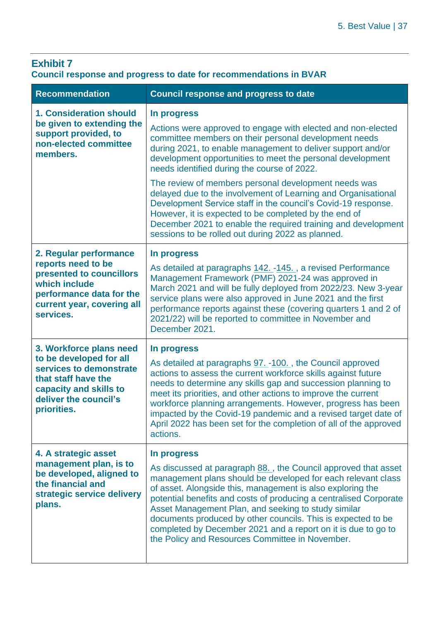#### <span id="page-36-0"></span>**Exhibit 7 Council response and progress to date for recommendations in BVAR**

| <b>Recommendation</b>                                                                                                                                                  | <b>Council response and progress to date</b>                                                                                                                                                                                                                                                                                                                                                                                                                                                                                |
|------------------------------------------------------------------------------------------------------------------------------------------------------------------------|-----------------------------------------------------------------------------------------------------------------------------------------------------------------------------------------------------------------------------------------------------------------------------------------------------------------------------------------------------------------------------------------------------------------------------------------------------------------------------------------------------------------------------|
| <b>1. Consideration should</b><br>be given to extending the<br>support provided, to<br>non-elected committee<br>members.                                               | In progress<br>Actions were approved to engage with elected and non-elected<br>committee members on their personal development needs<br>during 2021, to enable management to deliver support and/or<br>development opportunities to meet the personal development<br>needs identified during the course of 2022.                                                                                                                                                                                                            |
|                                                                                                                                                                        | The review of members personal development needs was<br>delayed due to the involvement of Learning and Organisational<br>Development Service staff in the council's Covid-19 response.<br>However, it is expected to be completed by the end of<br>December 2021 to enable the required training and development<br>sessions to be rolled out during 2022 as planned.                                                                                                                                                       |
| 2. Regular performance<br>reports need to be<br>presented to councillors<br>which include<br>performance data for the<br>current year, covering all<br>services.       | In progress<br>As detailed at paragraphs 142. -145., a revised Performance<br>Management Framework (PMF) 2021-24 was approved in<br>March 2021 and will be fully deployed from 2022/23. New 3-year<br>service plans were also approved in June 2021 and the first<br>performance reports against these (covering quarters 1 and 2 of<br>2021/22) will be reported to committee in November and<br>December 2021.                                                                                                            |
| 3. Workforce plans need<br>to be developed for all<br>services to demonstrate<br>that staff have the<br>capacity and skills to<br>deliver the council's<br>priorities. | In progress<br>As detailed at paragraphs 97. -100., the Council approved<br>actions to assess the current workforce skills against future<br>needs to determine any skills gap and succession planning to<br>meet its priorities, and other actions to improve the current<br>workforce planning arrangements. However, progress has been<br>impacted by the Covid-19 pandemic and a revised target date of<br>April 2022 has been set for the completion of all of the approved<br>actions.                                |
| 4. A strategic asset<br>management plan, is to<br>be developed, aligned to<br>the financial and<br>strategic service delivery<br>plans.                                | In progress<br>As discussed at paragraph 88., the Council approved that asset<br>management plans should be developed for each relevant class<br>of asset. Alongside this, management is also exploring the<br>potential benefits and costs of producing a centralised Corporate<br>Asset Management Plan, and seeking to study similar<br>documents produced by other councils. This is expected to be<br>completed by December 2021 and a report on it is due to go to<br>the Policy and Resources Committee in November. |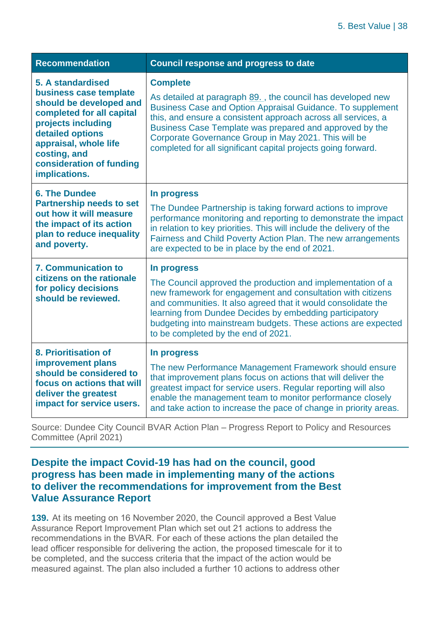| <b>Recommendation</b>                                                                                                                                                                                                               | <b>Council response and progress to date</b>                                                                                                                                                                                                                                                                                                                                                      |
|-------------------------------------------------------------------------------------------------------------------------------------------------------------------------------------------------------------------------------------|---------------------------------------------------------------------------------------------------------------------------------------------------------------------------------------------------------------------------------------------------------------------------------------------------------------------------------------------------------------------------------------------------|
| 5. A standardised<br>business case template<br>should be developed and<br>completed for all capital<br>projects including<br>detailed options<br>appraisal, whole life<br>costing, and<br>consideration of funding<br>implications. | <b>Complete</b><br>As detailed at paragraph 89., the council has developed new<br>Business Case and Option Appraisal Guidance. To supplement<br>this, and ensure a consistent approach across all services, a<br>Business Case Template was prepared and approved by the<br>Corporate Governance Group in May 2021. This will be<br>completed for all significant capital projects going forward. |
| <b>6. The Dundee</b><br><b>Partnership needs to set</b><br>out how it will measure<br>the impact of its action<br>plan to reduce inequality<br>and poverty.                                                                         | In progress<br>The Dundee Partnership is taking forward actions to improve<br>performance monitoring and reporting to demonstrate the impact<br>in relation to key priorities. This will include the delivery of the<br>Fairness and Child Poverty Action Plan. The new arrangements<br>are expected to be in place by the end of 2021.                                                           |
| <b>7. Communication to</b><br>citizens on the rationale<br>for policy decisions<br>should be reviewed.                                                                                                                              | In progress<br>The Council approved the production and implementation of a<br>new framework for engagement and consultation with citizens<br>and communities. It also agreed that it would consolidate the<br>learning from Dundee Decides by embedding participatory<br>budgeting into mainstream budgets. These actions are expected<br>to be completed by the end of 2021.                     |
| 8. Prioritisation of<br>improvement plans<br>should be considered to<br>focus on actions that will<br>deliver the greatest<br>impact for service users.                                                                             | In progress<br>The new Performance Management Framework should ensure<br>that improvement plans focus on actions that will deliver the<br>greatest impact for service users. Regular reporting will also<br>enable the management team to monitor performance closely<br>and take action to increase the pace of change in priority areas.                                                        |

Source: Dundee City Council BVAR Action Plan – Progress Report to Policy and Resources Committee (April 2021)

#### **Despite the impact Covid-19 has had on the council, good progress has been made in implementing many of the actions to deliver the recommendations for improvement from the Best Value Assurance Report**

**139.** At its meeting on 16 November 2020, the Council approved a Best Value Assurance Report Improvement Plan which set out 21 actions to address the recommendations in the BVAR. For each of these actions the plan detailed the lead officer responsible for delivering the action, the proposed timescale for it to be completed, and the success criteria that the impact of the action would be measured against. The plan also included a further 10 actions to address other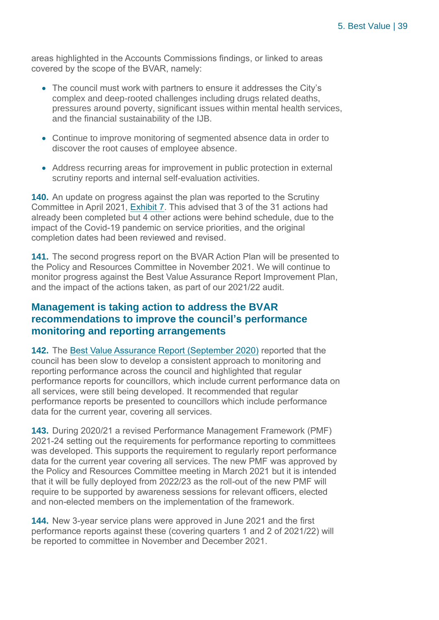areas highlighted in the Accounts Commissions findings, or linked to areas covered by the scope of the BVAR, namely:

- The council must work with partners to ensure it addresses the City's complex and deep-rooted challenges including drugs related deaths, pressures around poverty, significant issues within mental health services, and the financial sustainability of the IJB.
- Continue to improve monitoring of segmented absence data in order to discover the root causes of employee absence.
- Address recurring areas for improvement in public protection in external scrutiny reports and internal self-evaluation activities.

**140.** An update on progress against the plan was reported to the Scrutiny Committee in April 2021, [Exhibit 7.](#page-36-0) This advised that 3 of the 31 actions had already been completed but 4 other actions were behind schedule, due to the impact of the Covid-19 pandemic on service priorities, and the original completion dates had been reviewed and revised.

**141.** The second progress report on the BVAR Action Plan will be presented to the Policy and Resources Committee in November 2021. We will continue to monitor progress against the Best Value Assurance Report Improvement Plan, and the impact of the actions taken, as part of our 2021/22 audit.

#### **Management is taking action to address the BVAR recommendations to improve the council's performance monitoring and reporting arrangements**

<span id="page-38-0"></span>**142.** The [Best Value Assurance Report \(September 2020\)](https://www.audit-scotland.gov.uk/uploads/docs/report/2020/bv_200929_dundee.pdf) reported that the council has been slow to develop a consistent approach to monitoring and reporting performance across the council and highlighted that regular performance reports for councillors, which include current performance data on all services, were still being developed. It recommended that regular performance reports be presented to councillors which include performance data for the current year, covering all services.

**143.** During 2020/21 a revised Performance Management Framework (PMF) 2021-24 setting out the requirements for performance reporting to committees was developed. This supports the requirement to regularly report performance data for the current year covering all services. The new PMF was approved by the Policy and Resources Committee meeting in March 2021 but it is intended that it will be fully deployed from 2022/23 as the roll-out of the new PMF will require to be supported by awareness sessions for relevant officers, elected and non-elected members on the implementation of the framework.

**144.** New 3-year service plans were approved in June 2021 and the first performance reports against these (covering quarters 1 and 2 of 2021/22) will be reported to committee in November and December 2021.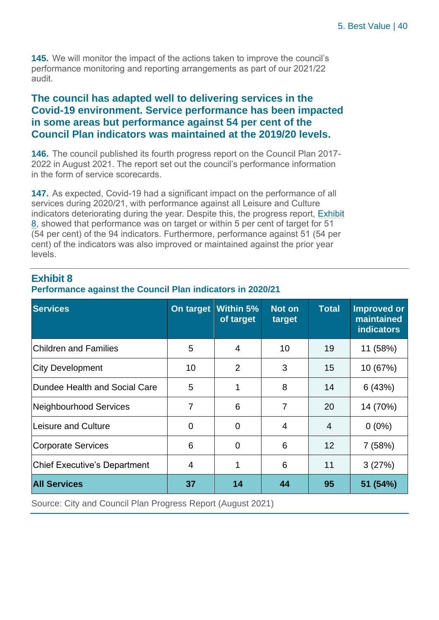<span id="page-39-0"></span>**145.** We will monitor the impact of the actions taken to improve the council's performance monitoring and reporting arrangements as part of our 2021/22 audit.

#### **The council has adapted well to delivering services in the Covid-19 environment. Service performance has been impacted in some areas but performance against 54 per cent of the Council Plan indicators was maintained at the 2019/20 levels.**

<span id="page-39-2"></span>**146.** The council published its fourth progress report on the Council Plan 2017- 2022 in August 2021. The report set out the council's performance information in the form of service scorecards.

<span id="page-39-3"></span>**147.** As expected, Covid-19 had a significant impact on the performance of all services during 2020/21, with performance against all Leisure and Culture indicators deteriorating during the year. Despite this, the progress report, [Exhibit](#page-39-1)  [8,](#page-39-1) showed that performance was on target or within 5 per cent of target for 51 (54 per cent) of the 94 indicators. Furthermore, performance against 51 (54 per cent) of the indicators was also improved or maintained against the prior year levels.

#### <span id="page-39-1"></span>**Exhibit 8 Performance against the Council Plan indicators in 2020/21**

| I GHUINING AYAMSI MG COUNGHT IAN MUCALUIS IN ZUZUIZT |                            |  |  |  |  |
|------------------------------------------------------|----------------------------|--|--|--|--|
| <b>Services</b>                                      | On target Within 5% Not on |  |  |  |  |

| <b>Services</b>                     | On target      | Within 5%<br>of target | <b>Not on</b><br>target | Total          | <b>Improved or</b><br>maintained<br><b>indicators</b> |
|-------------------------------------|----------------|------------------------|-------------------------|----------------|-------------------------------------------------------|
| <b>Children and Families</b>        | 5              | $\overline{4}$         | 10                      | 19             | 11 (58%)                                              |
| <b>City Development</b>             | 10             | 2                      | 3                       | 15             | 10 (67%)                                              |
| Dundee Health and Social Care       | 5              | 1                      | 8                       | 14             | 6(43%)                                                |
| Neighbourhood Services              | 7              | 6                      | 7                       | 20             | 14 (70%)                                              |
| Leisure and Culture                 | $\overline{0}$ | $\overline{0}$         | 4                       | $\overline{4}$ | $0(0\%)$                                              |
| <b>Corporate Services</b>           | 6              | $\overline{0}$         | 6                       | 12             | 7(58%)                                                |
| <b>Chief Executive's Department</b> | 4              |                        | 6                       | 11             | 3(27%)                                                |
| <b>All Services</b>                 | 37             | 14                     | 44                      | 95             | 51 (54%)                                              |

Source: City and Council Plan Progress Report (August 2021)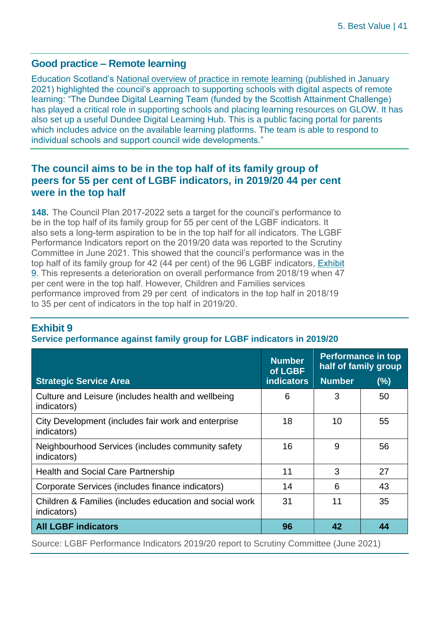#### **Good practice – Remote learning**

Education Scotland's [National overview of practice in remote learning](https://education.gov.scot/media/5ncbe2q4/national-overview-of-practice-in-remote-learning-1-local-authorities-updated270121.pdf) (published in January 2021) highlighted the council's approach to supporting schools with digital aspects of remote learning: "The Dundee Digital Learning Team (funded by the Scottish Attainment Challenge) has played a critical role in supporting schools and placing learning resources on GLOW. It has also set up a useful Dundee Digital Learning Hub. This is a public facing portal for parents which includes advice on the available learning platforms. The team is able to respond to individual schools and support council wide developments."

#### **The council aims to be in the top half of its family group of peers for 55 per cent of LGBF indicators, in 2019/20 44 per cent were in the top half**

**148.** The Council Plan 2017-2022 sets a target for the council's performance to be in the top half of its family group for 55 per cent of the LGBF indicators. It also sets a long-term aspiration to be in the top half for all indicators. The LGBF Performance Indicators report on the 2019/20 data was reported to the Scrutiny Committee in June 2021. This showed that the council's performance was in the top half of its family group for 42 (44 per cent) of the 96 LGBF indicators, [Exhibit](#page-40-0)  [9.](#page-40-0) This represents a deterioration on overall performance from 2018/19 when 47 per cent were in the top half. However, Children and Families services performance improved from 29 per cent of indicators in the top half in 2018/19 to 35 per cent of indicators in the top half in 2019/20.

#### <span id="page-40-0"></span>**Exhibit 9**

#### **Service performance against family group for LGBF indicators in 2019/20**

|                                                                        | <b>Number</b><br>of LGBF | <b>Performance in top</b><br>half of family group |     |
|------------------------------------------------------------------------|--------------------------|---------------------------------------------------|-----|
| <b>Strategic Service Area</b>                                          | <b>indicators</b>        | <b>Number</b>                                     | (%) |
| Culture and Leisure (includes health and wellbeing<br>indicators)      | 6                        | 3                                                 | 50  |
| City Development (includes fair work and enterprise<br>indicators)     | 18                       | 10                                                | 55  |
| Neighbourhood Services (includes community safety<br>indicators)       | 16                       | 9                                                 | 56  |
| <b>Health and Social Care Partnership</b>                              | 11                       | 3                                                 | 27  |
| Corporate Services (includes finance indicators)                       | 14                       | 6                                                 | 43  |
| Children & Families (includes education and social work<br>indicators) | 31                       | 11                                                | 35  |
| <b>All LGBF indicators</b>                                             | 96                       | 42                                                | 44  |

Source: LGBF Performance Indicators 2019/20 report to Scrutiny Committee (June 2021)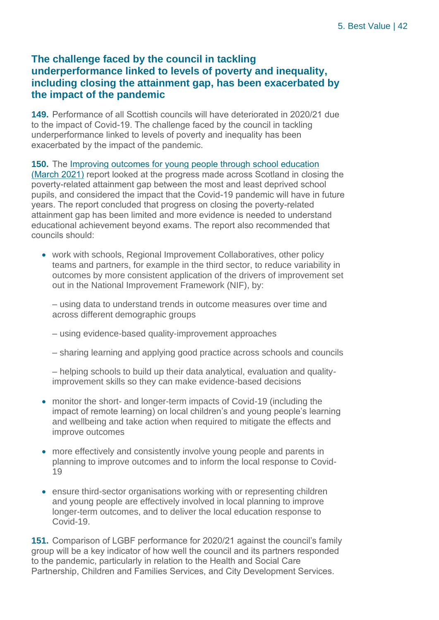#### **The challenge faced by the council in tackling underperformance linked to levels of poverty and inequality, including closing the attainment gap, has been exacerbated by the impact of the pandemic**

**149.** Performance of all Scottish councils will have deteriorated in 2020/21 due to the impact of Covid-19. The challenge faced by the council in tackling underperformance linked to levels of poverty and inequality has been exacerbated by the impact of the pandemic.

**150.** The [Improving outcomes for young people through school education](https://www.audit-scotland.gov.uk/report/improving-outcomes-for-young-people-through-school-education)  [\(March 2021\)](https://www.audit-scotland.gov.uk/report/improving-outcomes-for-young-people-through-school-education) report looked at the progress made across Scotland in closing the poverty-related attainment gap between the most and least deprived school pupils, and considered the impact that the Covid-19 pandemic will have in future years. The report concluded that progress on closing the poverty-related attainment gap has been limited and more evidence is needed to understand educational achievement beyond exams. The report also recommended that councils should:

• work with schools, Regional Improvement Collaboratives, other policy teams and partners, for example in the third sector, to reduce variability in outcomes by more consistent application of the drivers of improvement set out in the National Improvement Framework (NIF), by:

– using data to understand trends in outcome measures over time and across different demographic groups

- using evidence-based quality-improvement approaches
- sharing learning and applying good practice across schools and councils

– helping schools to build up their data analytical, evaluation and qualityimprovement skills so they can make evidence-based decisions

- monitor the short- and longer-term impacts of Covid-19 (including the impact of remote learning) on local children's and young people's learning and wellbeing and take action when required to mitigate the effects and improve outcomes
- more effectively and consistently involve young people and parents in planning to improve outcomes and to inform the local response to Covid-19
- ensure third-sector organisations working with or representing children and young people are effectively involved in local planning to improve longer-term outcomes, and to deliver the local education response to Covid-19.

**151.** Comparison of LGBF performance for 2020/21 against the council's family group will be a key indicator of how well the council and its partners responded to the pandemic, particularly in relation to the Health and Social Care Partnership, Children and Families Services, and City Development Services.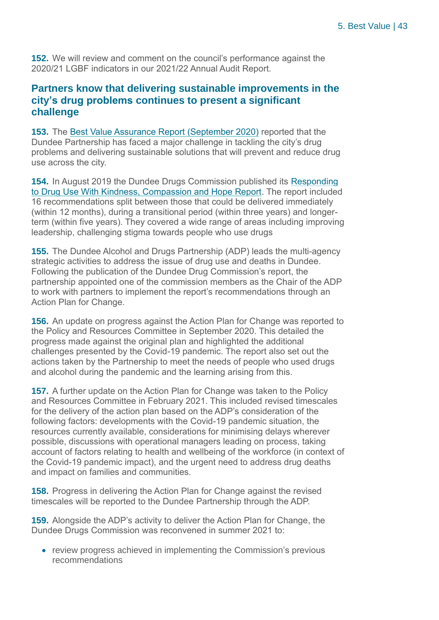**152.** We will review and comment on the council's performance against the 2020/21 LGBF indicators in our 2021/22 Annual Audit Report.

#### **Partners know that delivering sustainable improvements in the city's drug problems continues to present a significant challenge**

**153.** The [Best Value Assurance Report \(September 2020\)](https://www.audit-scotland.gov.uk/uploads/docs/report/2020/bv_200929_dundee.pdf) reported that the Dundee Partnership has faced a major challenge in tackling the city's drug problems and delivering sustainable solutions that will prevent and reduce drug use across the city.

**154.** In August 2019 the Dundee Drugs Commission published its [Responding](https://www.dundeecity.gov.uk/dundee-partnership/dundee-drugs-commission)  [to Drug Use With Kindness, Compassion and Hope Report.](https://www.dundeecity.gov.uk/dundee-partnership/dundee-drugs-commission) The report included 16 recommendations split between those that could be delivered immediately (within 12 months), during a transitional period (within three years) and longerterm (within five years). They covered a wide range of areas including improving leadership, challenging stigma towards people who use drugs

**155.** The Dundee Alcohol and Drugs Partnership (ADP) leads the multi-agency strategic activities to address the issue of drug use and deaths in Dundee. Following the publication of the Dundee Drug Commission's report, the partnership appointed one of the commission members as the Chair of the ADP to work with partners to implement the report's recommendations through an Action Plan for Change.

**156.** An update on progress against the Action Plan for Change was reported to the Policy and Resources Committee in September 2020. This detailed the progress made against the original plan and highlighted the additional challenges presented by the Covid-19 pandemic. The report also set out the actions taken by the Partnership to meet the needs of people who used drugs and alcohol during the pandemic and the learning arising from this.

**157.** A further update on the Action Plan for Change was taken to the Policy and Resources Committee in February 2021. This included revised timescales for the delivery of the action plan based on the ADP's consideration of the following factors: developments with the Covid-19 pandemic situation, the resources currently available, considerations for minimising delays wherever possible, discussions with operational managers leading on process, taking account of factors relating to health and wellbeing of the workforce (in context of the Covid-19 pandemic impact), and the urgent need to address drug deaths and impact on families and communities.

**158.** Progress in delivering the Action Plan for Change against the revised timescales will be reported to the Dundee Partnership through the ADP.

**159.** Alongside the ADP's activity to deliver the Action Plan for Change, the Dundee Drugs Commission was reconvened in summer 2021 to:

• review progress achieved in implementing the Commission's previous recommendations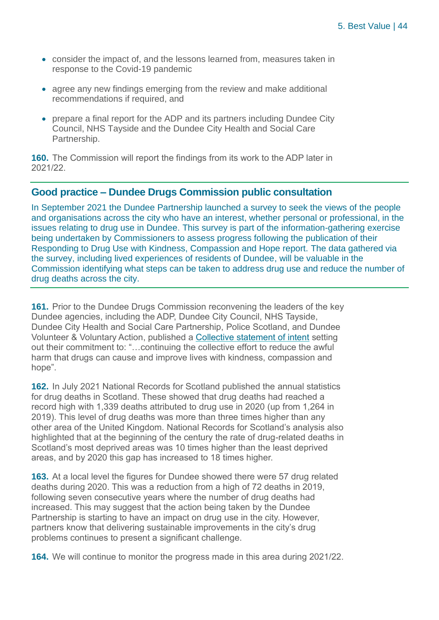- consider the impact of, and the lessons learned from, measures taken in response to the Covid-19 pandemic
- agree any new findings emerging from the review and make additional recommendations if required, and
- prepare a final report for the ADP and its partners including Dundee City Council, NHS Tayside and the Dundee City Health and Social Care Partnership.

**160.** The Commission will report the findings from its work to the ADP later in 2021/22.

#### **Good practice – Dundee Drugs Commission public consultation**

In September 2021 the Dundee Partnership launched a survey to seek the views of the people and organisations across the city who have an interest, whether personal or professional, in the issues relating to drug use in Dundee. This survey is part of the information-gathering exercise being undertaken by Commissioners to assess progress following the publication of their Responding to Drug Use with Kindness, Compassion and Hope report. The data gathered via the survey, including lived experiences of residents of Dundee, will be valuable in the Commission identifying what steps can be taken to address drug use and reduce the number of drug deaths across the city.

**161.** Prior to the Dundee Drugs Commission reconvening the leaders of the key Dundee agencies, including the ADP, Dundee City Council, NHS Tayside, Dundee City Health and Social Care Partnership, Police Scotland, and Dundee Volunteer & Voluntary Action, published a [Collective statement of intent](https://www.dundeecity.gov.uk/news/article?article_ref=3945) setting out their commitment to: "…continuing the collective effort to reduce the awful harm that drugs can cause and improve lives with kindness, compassion and hope".

**162.** In July 2021 National Records for Scotland published the annual statistics for drug deaths in Scotland. These showed that drug deaths had reached a record high with 1,339 deaths attributed to drug use in 2020 (up from 1,264 in 2019). This level of drug deaths was more than three times higher than any other area of the United Kingdom. National Records for Scotland's analysis also highlighted that at the beginning of the century the rate of drug-related deaths in Scotland's most deprived areas was 10 times higher than the least deprived areas, and by 2020 this gap has increased to 18 times higher.

**163.** At a local level the figures for Dundee showed there were 57 drug related deaths during 2020. This was a reduction from a high of 72 deaths in 2019, following seven consecutive years where the number of drug deaths had increased. This may suggest that the action being taken by the Dundee Partnership is starting to have an impact on drug use in the city. However, partners know that delivering sustainable improvements in the city's drug problems continues to present a significant challenge.

**164.** We will continue to monitor the progress made in this area during 2021/22.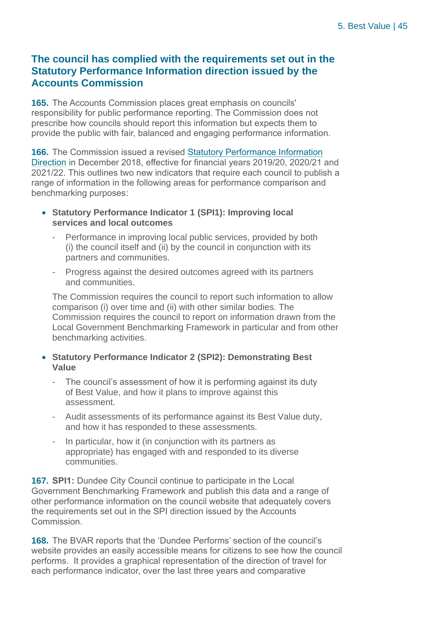#### **The council has complied with the requirements set out in the Statutory Performance Information direction issued by the Accounts Commission**

**165.** The Accounts Commission places great emphasis on councils' responsibility for public performance reporting. The Commission does not prescribe how councils should report this information but expects them to provide the public with fair, balanced and engaging performance information.

**166.** The Commission issued a revised [Statutory Performance Information](https://www.audit-scotland.gov.uk/uploads/docs/um/pi_direction_2018.pdf)  [Direction](https://www.audit-scotland.gov.uk/uploads/docs/um/pi_direction_2018.pdf) in December 2018, effective for financial years 2019/20, 2020/21 and 2021/22. This outlines two new indicators that require each council to publish a range of information in the following areas for performance comparison and benchmarking purposes:

- **Statutory Performance Indicator 1 (SPI1): Improving local services and local outcomes**
	- Performance in improving local public services, provided by both (i) the council itself and (ii) by the council in conjunction with its partners and communities.
	- Progress against the desired outcomes agreed with its partners and communities.

The Commission requires the council to report such information to allow comparison (i) over time and (ii) with other similar bodies. The Commission requires the council to report on information drawn from the Local Government Benchmarking Framework in particular and from other benchmarking activities.

- **Statutory Performance Indicator 2 (SPI2): Demonstrating Best Value**
	- The council's assessment of how it is performing against its duty of Best Value, and how it plans to improve against this assessment.
	- Audit assessments of its performance against its Best Value duty, and how it has responded to these assessments.
	- In particular, how it (in conjunction with its partners as appropriate) has engaged with and responded to its diverse communities.

**167. SPI1:** Dundee City Council continue to participate in the Local Government Benchmarking Framework and publish this data and a range of other performance information on the council website that adequately covers the requirements set out in the SPI direction issued by the Accounts Commission.

**168.** The BVAR reports that the 'Dundee Performs' section of the council's website provides an easily accessible means for citizens to see how the council performs. It provides a graphical representation of the direction of travel for each performance indicator, over the last three years and comparative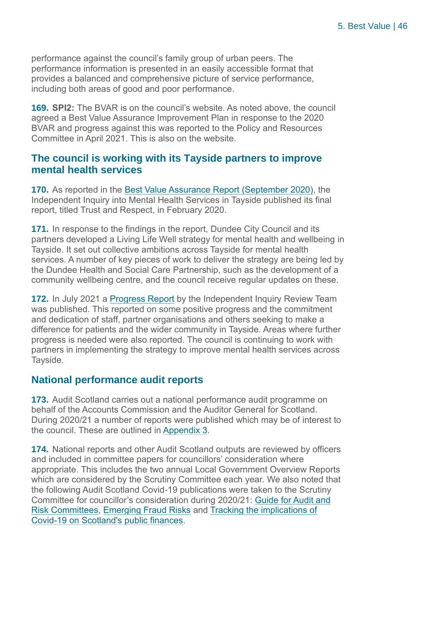performance against the council's family group of urban peers. The performance information is presented in an easily accessible format that provides a balanced and comprehensive picture of service performance, including both areas of good and poor performance.

**169. SPI2:** The BVAR is on the council's website. As noted above, the council agreed a Best Value Assurance Improvement Plan in response to the 2020 BVAR and progress against this was reported to the Policy and Resources Committee in April 2021. This is also on the website.

#### **The council is working with its Tayside partners to improve mental health services**

**170.** As reported in the [Best Value Assurance Report \(September 2020\),](https://www.audit-scotland.gov.uk/uploads/docs/report/2020/bv_200929_dundee.pdf) the Independent Inquiry into Mental Health Services in Tayside published its final report, titled Trust and Respect, in February 2020.

**171.** In response to the findings in the report, Dundee City Council and its partners developed a Living Life Well strategy for mental health and wellbeing in Tayside. It set out collective ambitions across Tayside for mental health services. A number of key pieces of work to deliver the strategy are being led by the Dundee Health and Social Care Partnership, such as the development of a community wellbeing centre, and the council receive regular updates on these.

**172.** In July 2021 a [Progress Report](https://independentinquiry.org/wp-content/uploads/2021/07/Independent-Inquiry-Progress-Report-July-2021.pdf) by the Independent Inquiry Review Team was published. This reported on some positive progress and the commitment and dedication of staff, partner organisations and others seeking to make a difference for patients and the wider community in Tayside. Areas where further progress is needed were also reported. The council is continuing to work with partners in implementing the strategy to improve mental health services across Tayside.

#### **National performance audit reports**

**173.** Audit Scotland carries out a national performance audit programme on behalf of the Accounts Commission and the Auditor General for Scotland. During 2020/21 a number of reports were published which may be of interest to the council. These are outlined in [Appendix 3.](#page-54-0)

**174.** National reports and other Audit Scotland outputs are reviewed by officers and included in committee papers for councillors' consideration where appropriate. This includes the two annual Local Government Overview Reports which are considered by the Scrutiny Committee each year. We also noted that the following Audit Scotland Covid-19 publications were taken to the Scrutiny Committee for councillor's consideration during 2020/21: [Guide for Audit and](https://www.audit-scotland.gov.uk/report/covid-19-guide-for-audit-and-risk-committees)  [Risk Committees,](https://www.audit-scotland.gov.uk/report/covid-19-guide-for-audit-and-risk-committees) [Emerging Fraud Risks](https://www.audit-scotland.gov.uk/report/covid-19-emerging-fraud-risks) and [Tracking the implications of](https://www.audit-scotland.gov.uk/report/covid-19-tracking-the-implications-of-covid-19-on-scotlands-public-finances)  [Covid-19 on Scotland's public finances.](https://www.audit-scotland.gov.uk/report/covid-19-tracking-the-implications-of-covid-19-on-scotlands-public-finances)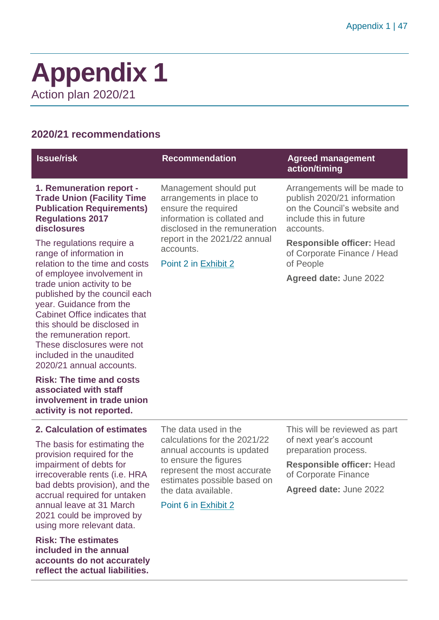### <span id="page-46-0"></span>**Appendix 1** Action plan 2020/21

#### **2020/21 recommendations**

#### **Issue/risk Commendation Agreed management Recommendation Agreed management action/timing 1. Remuneration report - Trade Union (Facility Time Publication Requirements) Regulations 2017 disclosures** The regulations require a range of information in relation to the time and costs of employee involvement in trade union activity to be published by the council each year. Guidance from the Cabinet Office indicates that this should be disclosed in the remuneration report. These disclosures were not included in the unaudited 2020/21 annual accounts. Management should put arrangements in place to ensure the required information is collated and disclosed in the remuneration report in the 2021/22 annual accounts. Point 2 in [Exhibit 2](#page-9-0) Arrangements will be made to publish 2020/21 information on the Council's website and include this in future accounts. **Responsible officer:** Head of Corporate Finance / Head of People **Agreed date:** June 2022

**Risk: The time and costs associated with staff involvement in trade union activity is not reported.**

#### **2. Calculation of estimates**

The basis for estimating the provision required for the impairment of debts for irrecoverable rents (i.e. HRA bad debts provision), and the accrual required for untaken annual leave at 31 March 2021 could be improved by using more relevant data.

**Risk: The estimates included in the annual accounts do not accurately reflect the actual liabilities.**

The data used in the calculations for the 2021/22 annual accounts is updated to ensure the figures represent the most accurate estimates possible based on the data available.

#### Point 6 in [Exhibit 2](#page-9-0)

This will be reviewed as part of next year's account preparation process.

**Responsible officer:** Head of Corporate Finance

**Agreed date:** June 2022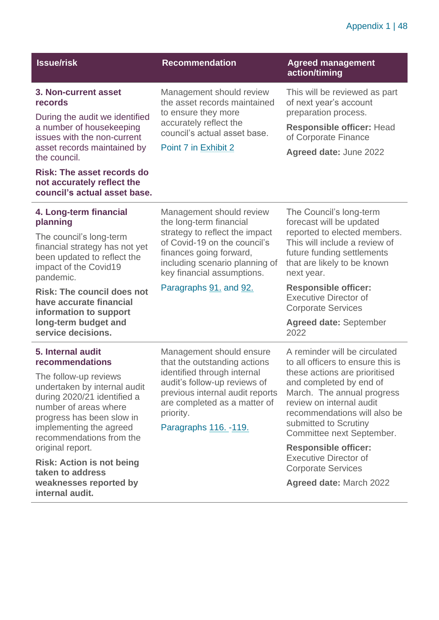#### Appendix 1 | 48

| <b>Issue/risk</b>                                                                                                                                                     | <b>Recommendation</b>                                                                                                                                                | <b>Agreed management</b><br>action/timing                                                |                                                                                                                                                                                                          |
|-----------------------------------------------------------------------------------------------------------------------------------------------------------------------|----------------------------------------------------------------------------------------------------------------------------------------------------------------------|------------------------------------------------------------------------------------------|----------------------------------------------------------------------------------------------------------------------------------------------------------------------------------------------------------|
| 3. Non-current asset<br>records                                                                                                                                       | Management should review<br>the asset records maintained<br>to ensure they more                                                                                      | This will be reviewed as part<br>of next year's account<br>preparation process.          |                                                                                                                                                                                                          |
| During the audit we identified<br>a number of housekeeping<br>issues with the non-current                                                                             | accurately reflect the<br>council's actual asset base.                                                                                                               | <b>Responsible officer: Head</b><br>of Corporate Finance                                 |                                                                                                                                                                                                          |
| asset records maintained by<br>the council.                                                                                                                           | Point 7 in Exhibit 2                                                                                                                                                 | Agreed date: June 2022                                                                   |                                                                                                                                                                                                          |
| <b>Risk: The asset records do</b><br>not accurately reflect the<br>council's actual asset base.                                                                       |                                                                                                                                                                      |                                                                                          |                                                                                                                                                                                                          |
| 4. Long-term financial<br>planning                                                                                                                                    | Management should review<br>the long-term financial                                                                                                                  | The Council's long-term<br>forecast will be updated                                      |                                                                                                                                                                                                          |
| The council's long-term<br>financial strategy has not yet<br>been updated to reflect the<br>impact of the Covid19<br>pandemic.                                        | strategy to reflect the impact<br>of Covid-19 on the council's<br>finances going forward,<br>including scenario planning of<br>key financial assumptions.            | next year.                                                                               | reported to elected members.<br>This will include a review of<br>future funding settlements<br>that are likely to be known                                                                               |
| <b>Risk: The council does not</b><br>have accurate financial<br>information to support                                                                                | Paragraphs 91. and 92.                                                                                                                                               | <b>Responsible officer:</b><br><b>Executive Director of</b><br><b>Corporate Services</b> |                                                                                                                                                                                                          |
| long-term budget and<br>service decisions.                                                                                                                            |                                                                                                                                                                      | <b>Agreed date: September</b><br>2022                                                    |                                                                                                                                                                                                          |
| 5. Internal audit<br>recommendations                                                                                                                                  | Management should ensure<br>that the outstanding actions                                                                                                             | A reminder will be circulated<br>to all officers to ensure this is                       |                                                                                                                                                                                                          |
| The follow-up reviews<br>undertaken by internal audit<br>during 2020/21 identified a<br>number of areas where<br>progress has been slow in<br>implementing the agreed | identified through internal<br>audit's follow-up reviews of<br>previous internal audit reports<br>are completed as a matter of<br>priority.<br>Paragraphs 116. -119. |                                                                                          | these actions are prioritised<br>and completed by end of<br>March. The annual progress<br>review on internal audit<br>recommendations will also be<br>submitted to Scrutiny<br>Committee next September. |
| recommendations from the<br>original report.                                                                                                                          |                                                                                                                                                                      | <b>Responsible officer:</b><br><b>Executive Director of</b>                              |                                                                                                                                                                                                          |
| <b>Risk: Action is not being</b><br>taken to address                                                                                                                  |                                                                                                                                                                      | <b>Corporate Services</b>                                                                |                                                                                                                                                                                                          |
| weaknesses reported by<br>internal audit.                                                                                                                             |                                                                                                                                                                      | <b>Agreed date: March 2022</b>                                                           |                                                                                                                                                                                                          |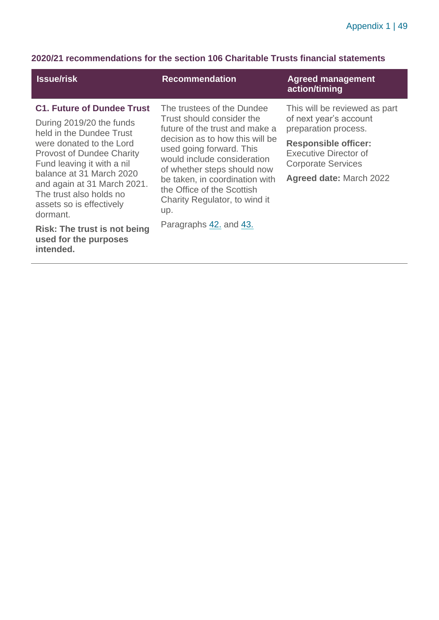#### **2020/21 recommendations for the section 106 Charitable Trusts financial statements**

| <b>Issue/risk</b>                                                                                                                                                                                                                                                                                                                                                                                  | <b>Recommendation</b>                                                                                                                                                                                                                                                                                                                                    | <b>Agreed management</b><br>action/timing                                                                                                                                                                     |
|----------------------------------------------------------------------------------------------------------------------------------------------------------------------------------------------------------------------------------------------------------------------------------------------------------------------------------------------------------------------------------------------------|----------------------------------------------------------------------------------------------------------------------------------------------------------------------------------------------------------------------------------------------------------------------------------------------------------------------------------------------------------|---------------------------------------------------------------------------------------------------------------------------------------------------------------------------------------------------------------|
| <b>C1. Future of Dundee Trust</b><br>During 2019/20 the funds<br>held in the Dundee Trust<br>were donated to the Lord<br><b>Provost of Dundee Charity</b><br>Fund leaving it with a nil<br>balance at 31 March 2020<br>and again at 31 March 2021.<br>The trust also holds no<br>assets so is effectively<br>dormant.<br><b>Risk: The trust is not being</b><br>used for the purposes<br>intended. | The trustees of the Dundee<br>Trust should consider the<br>future of the trust and make a<br>decision as to how this will be<br>used going forward. This<br>would include consideration<br>of whether steps should now<br>be taken, in coordination with<br>the Office of the Scottish<br>Charity Regulator, to wind it<br>up.<br>Paragraphs 42, and 43. | This will be reviewed as part<br>of next year's account<br>preparation process.<br><b>Responsible officer:</b><br><b>Executive Director of</b><br><b>Corporate Services</b><br><b>Agreed date: March 2022</b> |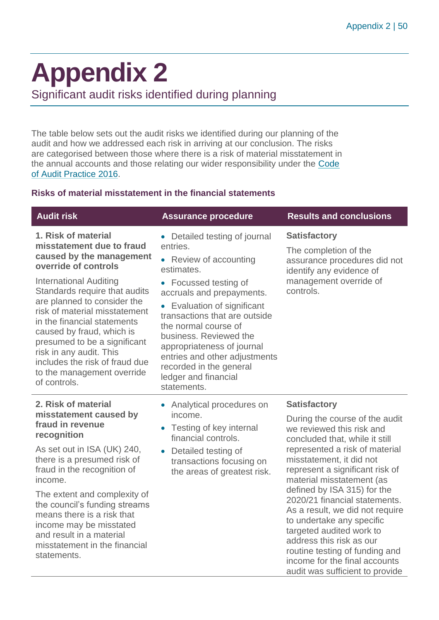audit was sufficient to provide

# <span id="page-49-0"></span>**Appendix 2**

Significant audit risks identified during planning

The table below sets out the audit risks we identified during our planning of the audit and how we addressed each risk in arriving at our conclusion. The risks are categorised between those where there is a risk of material misstatement in the annual accounts and those relating our wider responsibility under the [Code](http://www.audit-scotland.gov.uk/report/code-of-audit-practice-2016)  [of Audit Practice 2016.](http://www.audit-scotland.gov.uk/report/code-of-audit-practice-2016)

#### **Risks of material misstatement in the financial statements**

| <b>Audit risk</b>                                                                                                                                                                                                                                                                                                                                                                                                                             | <b>Assurance procedure</b>                                                                                                                                                                                                                                                                                                                                                                                     | <b>Results and conclusions</b>                                                                                                                                                                                                                                                                                                                        |
|-----------------------------------------------------------------------------------------------------------------------------------------------------------------------------------------------------------------------------------------------------------------------------------------------------------------------------------------------------------------------------------------------------------------------------------------------|----------------------------------------------------------------------------------------------------------------------------------------------------------------------------------------------------------------------------------------------------------------------------------------------------------------------------------------------------------------------------------------------------------------|-------------------------------------------------------------------------------------------------------------------------------------------------------------------------------------------------------------------------------------------------------------------------------------------------------------------------------------------------------|
| 1. Risk of material<br>misstatement due to fraud<br>caused by the management<br>override of controls<br><b>International Auditing</b><br>Standards require that audits<br>are planned to consider the<br>risk of material misstatement<br>in the financial statements<br>caused by fraud, which is<br>presumed to be a significant<br>risk in any audit. This<br>includes the risk of fraud due<br>to the management override<br>of controls. | Detailed testing of journal<br>entries.<br>Review of accounting<br>$\bullet$<br>estimates.<br>• Focussed testing of<br>accruals and prepayments.<br>Evaluation of significant<br>$\bullet$<br>transactions that are outside<br>the normal course of<br>business. Reviewed the<br>appropriateness of journal<br>entries and other adjustments<br>recorded in the general<br>ledger and financial<br>statements. | <b>Satisfactory</b><br>The completion of the<br>assurance procedures did not<br>identify any evidence of<br>management override of<br>controls.                                                                                                                                                                                                       |
| 2. Risk of material<br>misstatement caused by<br>fraud in revenue<br>recognition<br>As set out in ISA (UK) 240,<br>there is a presumed risk of<br>fraud in the recognition of<br>income.<br>The extent and complexity of<br>the council's funding streams                                                                                                                                                                                     | Analytical procedures on<br>$\bullet$<br>income.<br>Testing of key internal<br>financial controls.<br>Detailed testing of<br>$\bullet$<br>transactions focusing on<br>the areas of greatest risk.                                                                                                                                                                                                              | <b>Satisfactory</b><br>During the course of the audit<br>we reviewed this risk and<br>concluded that, while it still<br>represented a risk of material<br>misstatement, it did not<br>represent a significant risk of<br>material misstatement (as<br>defined by ISA 315) for the<br>2020/21 financial statements.<br>As a result, we did not require |
| means there is a risk that<br>income may be misstated<br>and result in a material<br>misstatement in the financial<br>statements.                                                                                                                                                                                                                                                                                                             |                                                                                                                                                                                                                                                                                                                                                                                                                | to undertake any specific<br>targeted audited work to<br>address this risk as our<br>routine testing of funding and<br>income for the final accounts                                                                                                                                                                                                  |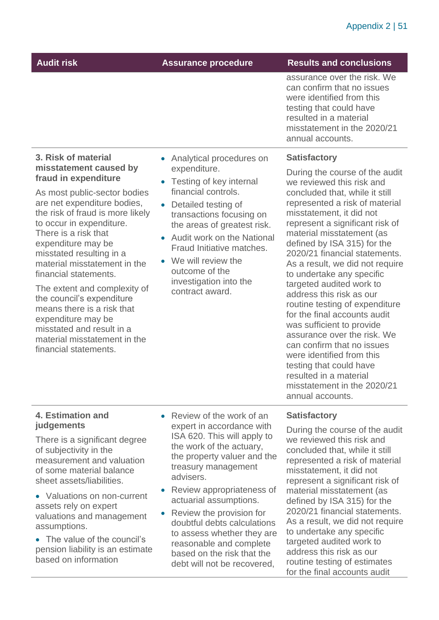| <b>Audit risk</b>                                                                                                                                                                                                                                                                                                                                                                                                                                                     | <b>Assurance procedure</b>                                                                                                                                                                                                                                     | <b>Results and conclusions</b>                                                                                                                                                                                                                                                                                                                                                                                                                                                                                                                                                                                                                        |
|-----------------------------------------------------------------------------------------------------------------------------------------------------------------------------------------------------------------------------------------------------------------------------------------------------------------------------------------------------------------------------------------------------------------------------------------------------------------------|----------------------------------------------------------------------------------------------------------------------------------------------------------------------------------------------------------------------------------------------------------------|-------------------------------------------------------------------------------------------------------------------------------------------------------------------------------------------------------------------------------------------------------------------------------------------------------------------------------------------------------------------------------------------------------------------------------------------------------------------------------------------------------------------------------------------------------------------------------------------------------------------------------------------------------|
|                                                                                                                                                                                                                                                                                                                                                                                                                                                                       |                                                                                                                                                                                                                                                                | assurance over the risk. We<br>can confirm that no issues<br>were identified from this<br>testing that could have<br>resulted in a material<br>misstatement in the 2020/21<br>annual accounts.                                                                                                                                                                                                                                                                                                                                                                                                                                                        |
| 3. Risk of material                                                                                                                                                                                                                                                                                                                                                                                                                                                   | Analytical procedures on                                                                                                                                                                                                                                       | <b>Satisfactory</b>                                                                                                                                                                                                                                                                                                                                                                                                                                                                                                                                                                                                                                   |
| misstatement caused by<br>fraud in expenditure                                                                                                                                                                                                                                                                                                                                                                                                                        | expenditure.<br>• Testing of key internal                                                                                                                                                                                                                      | During the course of the audit<br>we reviewed this risk and                                                                                                                                                                                                                                                                                                                                                                                                                                                                                                                                                                                           |
| As most public-sector bodies<br>are net expenditure bodies,<br>the risk of fraud is more likely<br>to occur in expenditure.<br>There is a risk that<br>expenditure may be<br>misstated resulting in a<br>material misstatement in the<br>financial statements.<br>The extent and complexity of<br>the council's expenditure<br>means there is a risk that<br>expenditure may be<br>misstated and result in a<br>material misstatement in the<br>financial statements. | financial controls.<br>Detailed testing of<br>transactions focusing on<br>the areas of greatest risk.<br><b>Audit work on the National</b><br>Fraud Initiative matches.<br>• We will review the<br>outcome of the<br>investigation into the<br>contract award. | concluded that, while it still<br>represented a risk of material<br>misstatement, it did not<br>represent a significant risk of<br>material misstatement (as<br>defined by ISA 315) for the<br>2020/21 financial statements.<br>As a result, we did not require<br>to undertake any specific<br>targeted audited work to<br>address this risk as our<br>routine testing of expenditure<br>for the final accounts audit<br>was sufficient to provide<br>assurance over the risk. We<br>can confirm that no issues<br>were identified from this<br>testing that could have<br>resulted in a material<br>misstatement in the 2020/21<br>annual accounts. |

#### **4. Estimation and judgements**

There is a significant degree of subjectivity in the measurement and valuation of some material balance sheet assets/liabilities.

• Valuations on non-current assets rely on expert valuations and management assumptions.

• The value of the council's pension liability is an estimate based on information

- Review of the work of an expert in accordance with ISA 620. This will apply to the work of the actuary, the property valuer and the treasury management advisers.
- Review appropriateness of actuarial assumptions.
- Review the provision for doubtful debts calculations to assess whether they are reasonable and complete based on the risk that the debt will not be recovered,

#### **Satisfactory**

During the course of the audit we reviewed this risk and concluded that, while it still represented a risk of material misstatement, it did not represent a significant risk of material misstatement (as defined by ISA 315) for the 2020/21 financial statements. As a result, we did not require to undertake any specific targeted audited work to address this risk as our routine testing of estimates for the final accounts audit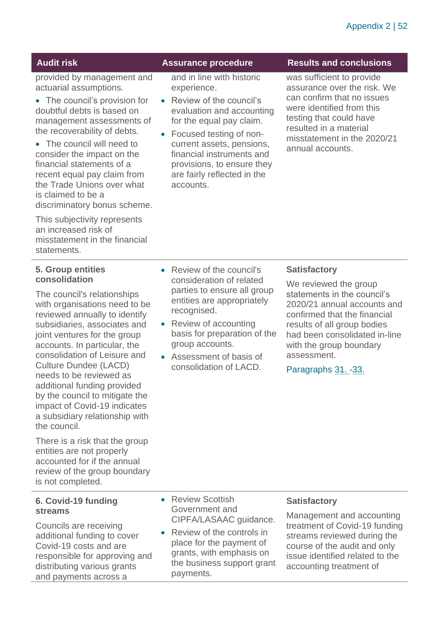provided by management and actuarial assumptions.

• The council's provision for doubtful debts is based on management assessments of the recoverability of debts.

• The council will need to consider the impact on the financial statements of a recent equal pay claim from the Trade Unions over what is claimed to be a discriminatory bonus scheme.

This subjectivity represents an increased risk of misstatement in the financial statements.

and in line with historic experience.

- Review of the council's evaluation and accounting for the equal pay claim.
- Focused testing of noncurrent assets, pensions, financial instruments and provisions, to ensure they are fairly reflected in the accounts.

#### **Audit risk Assurance procedure Results and conclusions**

was sufficient to provide assurance over the risk. We can confirm that no issues were identified from this testing that could have resulted in a material misstatement in the 2020/21 annual accounts.

#### **5. Group entities consolidation**

The council's relationships with organisations need to be reviewed annually to identify subsidiaries, associates and joint ventures for the group accounts. In particular, the consolidation of Leisure and Culture Dundee (LACD) needs to be reviewed as additional funding provided by the council to mitigate the impact of Covid-19 indicates a subsidiary relationship with the council.

There is a risk that the group entities are not properly accounted for if the annual review of the group boundary is not completed.

#### **6. Covid-19 funding streams**

Councils are receiving additional funding to cover Covid-19 costs and are responsible for approving and distributing various grants and payments across a

- Review of the council's consideration of related parties to ensure all group entities are appropriately recognised.
- Review of accounting basis for preparation of the group accounts.
- Assessment of basis of consolidation of LACD.

#### **Satisfactory**

We reviewed the group statements in the council's 2020/21 annual accounts and confirmed that the financial results of all group bodies had been consolidated in-line with the group boundary assessment.

Paragraphs [31.](#page-12-0) [-33.](#page-12-1) 

- Review Scottish Government and CIPFA/LASAAC guidance.
- Review of the controls in place for the payment of grants, with emphasis on the business support grant payments.

#### **Satisfactory**

Management and accounting treatment of Covid-19 funding streams reviewed during the course of the audit and only issue identified related to the accounting treatment of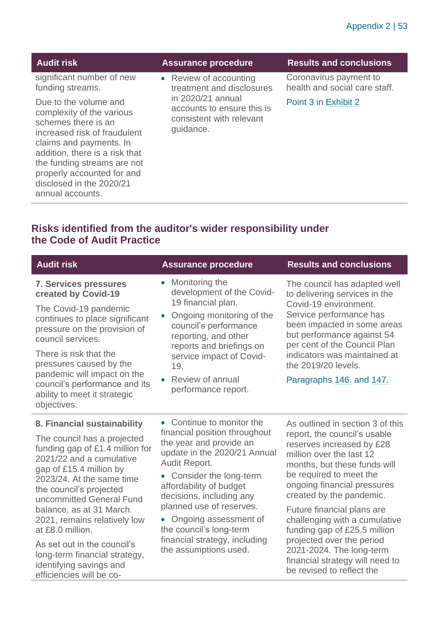| significant number of new<br>Coronavirus payment to<br>• Review of accounting<br>health and social care staff.<br>funding streams.<br>treatment and disclosures<br>in 2020/21 annual<br>Due to the volume and<br>Point 3 in Exhibit 2<br>accounts to ensure this is<br>complexity of the various<br>consistent with relevant<br>schemes there is an<br>quidance.<br>increased risk of fraudulent<br>claims and payments. In<br>addition, there is a risk that<br>the funding streams are not | <b>Audit risk</b>          | <b>Assurance procedure</b> | <b>Results and conclusions</b> |
|----------------------------------------------------------------------------------------------------------------------------------------------------------------------------------------------------------------------------------------------------------------------------------------------------------------------------------------------------------------------------------------------------------------------------------------------------------------------------------------------|----------------------------|----------------------------|--------------------------------|
|                                                                                                                                                                                                                                                                                                                                                                                                                                                                                              |                            |                            |                                |
| disclosed in the 2020/21<br>annual accounts.                                                                                                                                                                                                                                                                                                                                                                                                                                                 | properly accounted for and |                            |                                |

#### **Risks identified from the auditor's wider responsibility under the Code of Audit Practice**

| <b>Audit risk</b>                                                                                                                                                                                                                                                                                                                                                                                                                              | <b>Assurance procedure</b>                                                                                                                                                                                                                                                                                                                                          | <b>Results and conclusions</b>                                                                                                                                                                                                                                                                                                                                                                                                                                          |
|------------------------------------------------------------------------------------------------------------------------------------------------------------------------------------------------------------------------------------------------------------------------------------------------------------------------------------------------------------------------------------------------------------------------------------------------|---------------------------------------------------------------------------------------------------------------------------------------------------------------------------------------------------------------------------------------------------------------------------------------------------------------------------------------------------------------------|-------------------------------------------------------------------------------------------------------------------------------------------------------------------------------------------------------------------------------------------------------------------------------------------------------------------------------------------------------------------------------------------------------------------------------------------------------------------------|
| <b>7. Services pressures</b><br>created by Covid-19<br>The Covid-19 pandemic<br>continues to place significant<br>pressure on the provision of<br>council services.<br>There is risk that the<br>pressures caused by the<br>pandemic will impact on the<br>council's performance and its<br>ability to meet it strategic<br>objectives.                                                                                                        | Monitoring the<br>$\bullet$<br>development of the Covid-<br>19 financial plan.<br>Ongoing monitoring of the<br>$\bullet$<br>council's performance<br>reporting, and other<br>reports and briefings on<br>service impact of Covid-<br>19.<br>• Review of annual<br>performance report.                                                                               | The council has adapted well<br>to delivering services in the<br>Covid-19 environment.<br>Service performance has<br>been impacted in some areas<br>but performance against 54<br>per cent of the Council Plan<br>indicators was maintained at<br>the 2019/20 levels.<br>Paragraphs 146. and 147.                                                                                                                                                                       |
| 8. Financial sustainability<br>The council has a projected<br>funding gap of £1.4 million for<br>2021/22 and a cumulative<br>gap of £15.4 million by<br>2023/24. At the same time<br>the council's projected<br>uncommitted General Fund<br>balance, as at 31 March<br>2021, remains relatively low<br>at £8.0 million.<br>As set out in the council's<br>long-term financial strategy,<br>identifying savings and<br>efficiencies will be co- | • Continue to monitor the<br>financial position throughout<br>the year and provide an<br>update in the 2020/21 Annual<br>Audit Report.<br>Consider the long-term<br>affordability of budget<br>decisions, including any<br>planned use of reserves.<br>• Ongoing assessment of<br>the council's long-term<br>financial strategy, including<br>the assumptions used. | As outlined in section 3 of this<br>report, the council's usable<br>reserves increased by £28<br>million over the last 12<br>months, but these funds will<br>be required to meet the<br>ongoing financial pressures<br>created by the pandemic.<br>Future financial plans are<br>challenging with a cumulative<br>funding gap of £25.5 million<br>projected over the period<br>2021-2024. The long-term<br>financial strategy will need to<br>be revised to reflect the |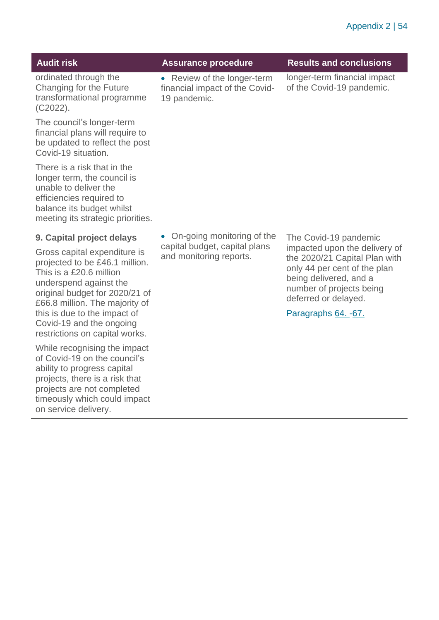| <b>Audit risk</b>                                                                                                                                                                                                                                                                                                  | <b>Assurance procedure</b>                                                                          | <b>Results and conclusions</b>                                                                                                                                                                                                |
|--------------------------------------------------------------------------------------------------------------------------------------------------------------------------------------------------------------------------------------------------------------------------------------------------------------------|-----------------------------------------------------------------------------------------------------|-------------------------------------------------------------------------------------------------------------------------------------------------------------------------------------------------------------------------------|
| ordinated through the<br>Changing for the Future<br>transformational programme<br>$(C2022)$ .                                                                                                                                                                                                                      | • Review of the longer-term<br>financial impact of the Covid-<br>19 pandemic.                       | longer-term financial impact<br>of the Covid-19 pandemic.                                                                                                                                                                     |
| The council's longer-term<br>financial plans will require to<br>be updated to reflect the post<br>Covid-19 situation.                                                                                                                                                                                              |                                                                                                     |                                                                                                                                                                                                                               |
| There is a risk that in the<br>longer term, the council is<br>unable to deliver the<br>efficiencies required to<br>balance its budget whilst<br>meeting its strategic priorities.                                                                                                                                  |                                                                                                     |                                                                                                                                                                                                                               |
| 9. Capital project delays<br>Gross capital expenditure is<br>projected to be £46.1 million.<br>This is a £20.6 million<br>underspend against the<br>original budget for 2020/21 of<br>£66.8 million. The majority of<br>this is due to the impact of<br>Covid-19 and the ongoing<br>restrictions on capital works. | On-going monitoring of the<br>$\bullet$<br>capital budget, capital plans<br>and monitoring reports. | The Covid-19 pandemic<br>impacted upon the delivery of<br>the 2020/21 Capital Plan with<br>only 44 per cent of the plan<br>being delivered, and a<br>number of projects being<br>deferred or delayed.<br>Paragraphs 64. - 67. |
| While recognising the impact<br>of Covid-19 on the council's<br>ability to progress capital<br>projects, there is a risk that<br>projects are not completed<br>timeously which could impact<br>on service delivery.                                                                                                |                                                                                                     |                                                                                                                                                                                                                               |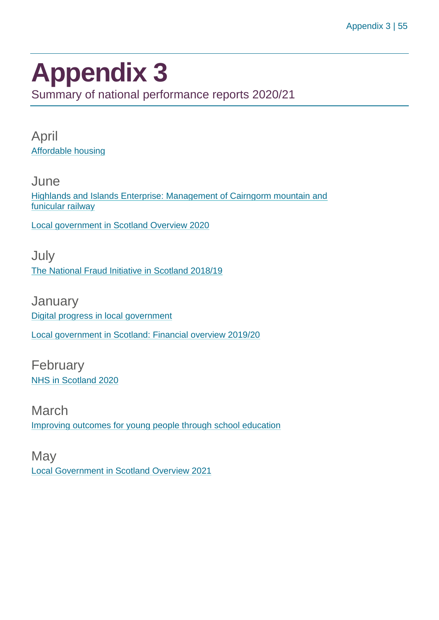# <span id="page-54-0"></span>**Appendix 3**

Summary of national performance reports 2020/21

April [Affordable housing](https://www.audit-scotland.gov.uk/report/affordable-housing)

**June** [Highlands and Islands Enterprise: Management of Cairngorm mountain and](https://www.audit-scotland.gov.uk/report/highlands-and-islands-enterprise-management-of-cairngorm-mountain-and-funicular-railway)  [funicular railway](https://www.audit-scotland.gov.uk/report/highlands-and-islands-enterprise-management-of-cairngorm-mountain-and-funicular-railway)

[Local government in Scotland Overview 2020](https://www.audit-scotland.gov.uk/report/local-government-in-scotland-overview-2020)

July [The National Fraud Initiative in Scotland 2018/19](https://www.audit-scotland.gov.uk/report/the-national-fraud-initiative-in-scotland-201819)

**January** [Digital progress in local government](https://www.audit-scotland.gov.uk/report/digital-progress-in-local-government) [Local government in Scotland: Financial overview 2019/20](https://www.audit-scotland.gov.uk/report/local-government-in-scotland-financial-overview-201920)

February [NHS in Scotland 2020](https://www.audit-scotland.gov.uk/report/nhs-in-scotland-2020)

March [Improving outcomes for young people through school education](https://www.audit-scotland.gov.uk/report/improving-outcomes-for-young-people-through-school-education)

**May** [Local Government in Scotland Overview 2021](https://www.audit-scotland.gov.uk/report/local-government-in-scotland-overview-2021)